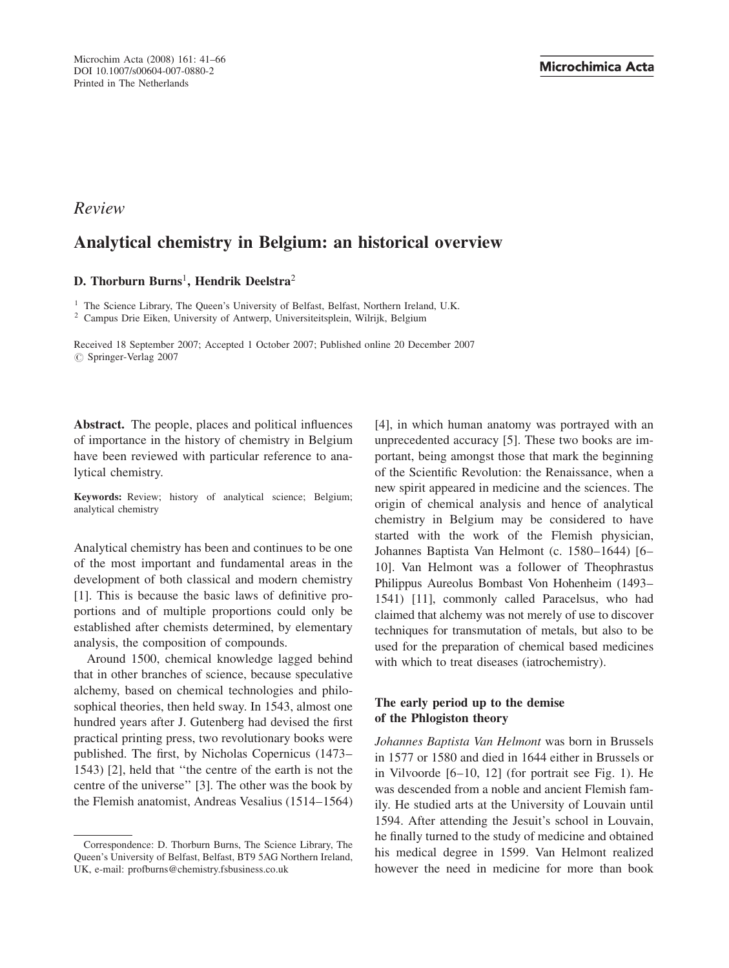## Review

## Analytical chemistry in Belgium: an historical overview

#### D. Thorburn Burns<sup>1</sup>, Hendrik Deelstra<sup>2</sup>

<sup>1</sup> The Science Library, The Queen's University of Belfast, Belfast, Northern Ireland, U.K. <sup>2</sup> Campus Drie Eiken, University of Antwerp, Universiteitsplein, Wilrijk, Belgium

Received 18 September 2007; Accepted 1 October 2007; Published online 20 December 2007  $\oslash$  Springer-Verlag 2007

Abstract. The people, places and political influences of importance in the history of chemistry in Belgium have been reviewed with particular reference to analytical chemistry.

Keywords: Review; history of analytical science; Belgium; analytical chemistry

Analytical chemistry has been and continues to be one of the most important and fundamental areas in the development of both classical and modern chemistry [1]. This is because the basic laws of definitive proportions and of multiple proportions could only be established after chemists determined, by elementary analysis, the composition of compounds.

Around 1500, chemical knowledge lagged behind that in other branches of science, because speculative alchemy, based on chemical technologies and philosophical theories, then held sway. In 1543, almost one hundred years after J. Gutenberg had devised the first practical printing press, two revolutionary books were published. The first, by Nicholas Copernicus (1473– 1543) [2], held that ''the centre of the earth is not the centre of the universe'' [3]. The other was the book by the Flemish anatomist, Andreas Vesalius (1514–1564) [4], in which human anatomy was portrayed with an unprecedented accuracy [5]. These two books are important, being amongst those that mark the beginning of the Scientific Revolution: the Renaissance, when a new spirit appeared in medicine and the sciences. The origin of chemical analysis and hence of analytical chemistry in Belgium may be considered to have started with the work of the Flemish physician, Johannes Baptista Van Helmont (c. 1580–1644) [6– 10]. Van Helmont was a follower of Theophrastus Philippus Aureolus Bombast Von Hohenheim (1493– 1541) [11], commonly called Paracelsus, who had claimed that alchemy was not merely of use to discover techniques for transmutation of metals, but also to be used for the preparation of chemical based medicines with which to treat diseases (iatrochemistry).

#### The early period up to the demise of the Phlogiston theory

Johannes Baptista Van Helmont was born in Brussels in 1577 or 1580 and died in 1644 either in Brussels or in Vilvoorde [6–10, 12] (for portrait see Fig. 1). He was descended from a noble and ancient Flemish family. He studied arts at the University of Louvain until 1594. After attending the Jesuit's school in Louvain, he finally turned to the study of medicine and obtained his medical degree in 1599. Van Helmont realized however the need in medicine for more than book

Correspondence: D. Thorburn Burns, The Science Library, The Queen's University of Belfast, Belfast, BT9 5AG Northern Ireland, UK, e-mail: profburns@chemistry.fsbusiness.co.uk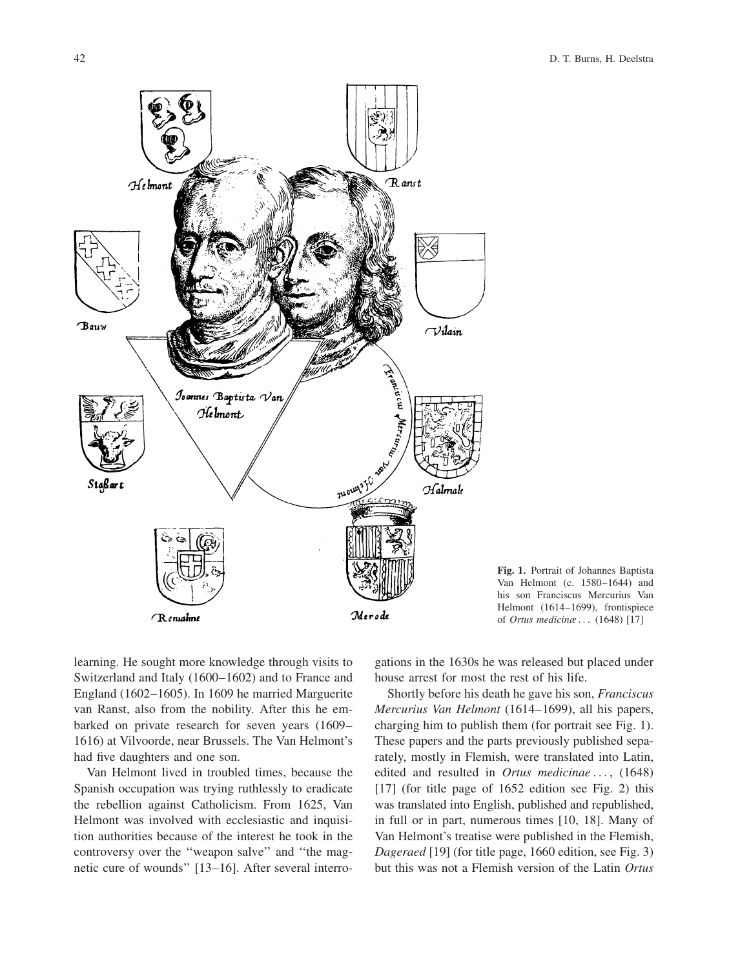



learning. He sought more knowledge through visits to Switzerland and Italy (1600–1602) and to France and England (1602–1605). In 1609 he married Marguerite van Ranst, also from the nobility. After this he embarked on private research for seven years (1609– 1616) at Vilvoorde, near Brussels. The Van Helmont's had five daughters and one son.

Van Helmont lived in troubled times, because the Spanish occupation was trying ruthlessly to eradicate the rebellion against Catholicism. From 1625, Van Helmont was involved with ecclesiastic and inquisition authorities because of the interest he took in the controversy over the ''weapon salve'' and ''the magnetic cure of wounds'' [13–16]. After several interrogations in the 1630s he was released but placed under house arrest for most the rest of his life.

Shortly before his death he gave his son, Franciscus Mercurius Van Helmont (1614–1699), all his papers, charging him to publish them (for portrait see Fig. 1). These papers and the parts previously published separately, mostly in Flemish, were translated into Latin, edited and resulted in Ortus medicinae ..., (1648) [17] (for title page of 1652 edition see Fig. 2) this was translated into English, published and republished, in full or in part, numerous times [10, 18]. Many of Van Helmont's treatise were published in the Flemish, Dageraed [19] (for title page, 1660 edition, see Fig. 3) but this was not a Flemish version of the Latin Ortus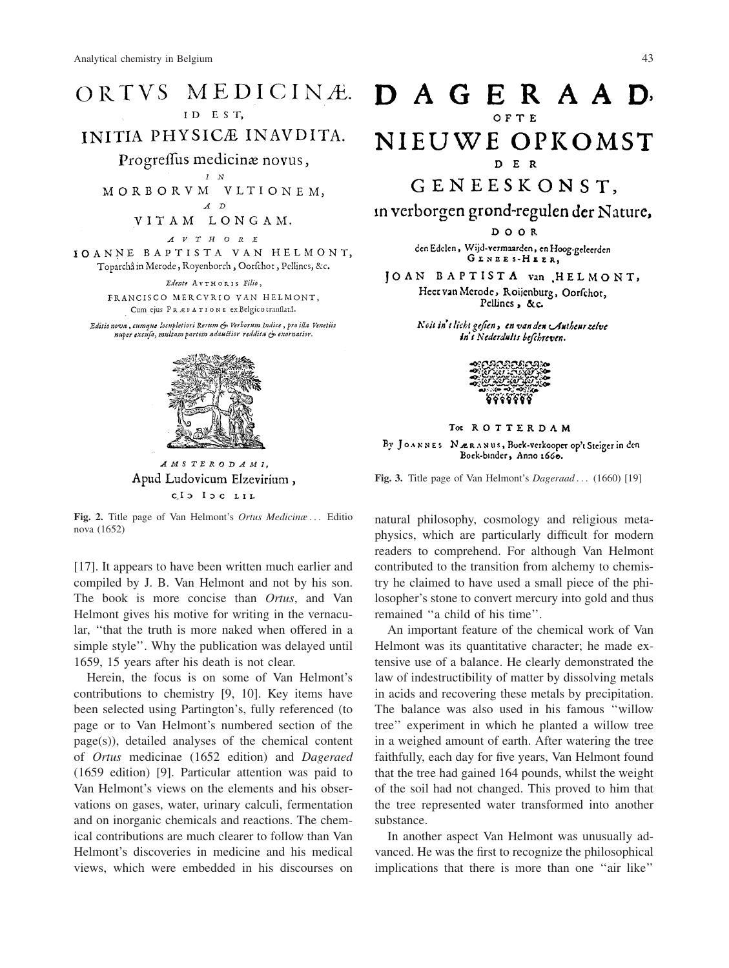



AMSTERODAMI, Apud Ludovicum Elzevirium, clo loc LIL

Fig. 2. Title page of Van Helmont's Ortus Medicinæ ... Editio nova (1652)

[17]. It appears to have been written much earlier and compiled by J. B. Van Helmont and not by his son. The book is more concise than *Ortus*, and Van Helmont gives his motive for writing in the vernacular, ''that the truth is more naked when offered in a simple style''. Why the publication was delayed until 1659, 15 years after his death is not clear.

Herein, the focus is on some of Van Helmont's contributions to chemistry [9, 10]. Key items have been selected using Partington's, fully referenced (to page or to Van Helmont's numbered section of the page(s)), detailed analyses of the chemical content of Ortus medicinae (1652 edition) and Dageraed (1659 edition) [9]. Particular attention was paid to Van Helmont's views on the elements and his observations on gases, water, urinary calculi, fermentation and on inorganic chemicals and reactions. The chemical contributions are much clearer to follow than Van Helmont's discoveries in medicine and his medical views, which were embedded in his discourses on

# DAGERAAD  $0 F T E$ NIEUWE OPKOMST D<sub>ER</sub>

GENEESKONST,

in verborgen grond-regulen der Nature,

DOOR

den Edelen, Wijd-vermaarden, en Hoog-geleerden GENEES-HEER,

JOAN BAPTISTA van HELMONT, Heer van Merode, Roijenburg, Oorfchot, Pellines, &c.

> Noit in't licht gesien, en van den Autheur zelve in't Nederdults befchreven.



Tot ROTTERDAM

By JOANNES NeRANUS, Bock-verkooper op't Steiger in den Bock-binder, Anno 1660.

Fig. 3. Title page of Van Helmont's *Dageraad* ... (1660) [19]

natural philosophy, cosmology and religious metaphysics, which are particularly difficult for modern readers to comprehend. For although Van Helmont contributed to the transition from alchemy to chemistry he claimed to have used a small piece of the philosopher's stone to convert mercury into gold and thus remained ''a child of his time''.

An important feature of the chemical work of Van Helmont was its quantitative character; he made extensive use of a balance. He clearly demonstrated the law of indestructibility of matter by dissolving metals in acids and recovering these metals by precipitation. The balance was also used in his famous ''willow tree'' experiment in which he planted a willow tree in a weighed amount of earth. After watering the tree faithfully, each day for five years, Van Helmont found that the tree had gained 164 pounds, whilst the weight of the soil had not changed. This proved to him that the tree represented water transformed into another substance.

In another aspect Van Helmont was unusually advanced. He was the first to recognize the philosophical implications that there is more than one ''air like''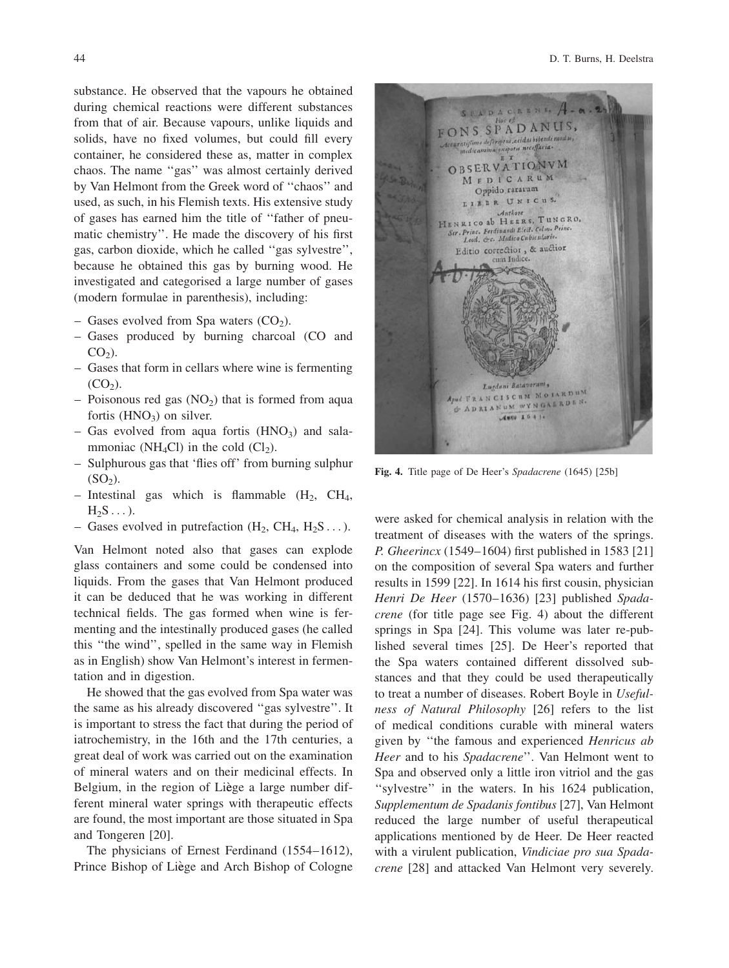substance. He observed that the vapours he obtained during chemical reactions were different substances from that of air. Because vapours, unlike liquids and solids, have no fixed volumes, but could fill every container, he considered these as, matter in complex chaos. The name ''gas'' was almost certainly derived by Van Helmont from the Greek word of ''chaos'' and used, as such, in his Flemish texts. His extensive study of gases has earned him the title of ''father of pneumatic chemistry''. He made the discovery of his first gas, carbon dioxide, which he called ''gas sylvestre'', because he obtained this gas by burning wood. He investigated and categorised a large number of gases (modern formulae in parenthesis), including:

- Gases evolved from Spa waters  $(CO<sub>2</sub>)$ .
- Gases produced by burning charcoal (CO and  $CO<sub>2</sub>$ ).
- Gases that form in cellars where wine is fermenting  $(CO<sub>2</sub>)$ .
- Poisonous red gas  $(NO<sub>2</sub>)$  that is formed from aqua fortis  $(HNO<sub>3</sub>)$  on silver.
- Gas evolved from aqua fortis  $(HNO_3)$  and salammoniac (NH<sub>4</sub>Cl) in the cold  $(Cl<sub>2</sub>)$ .
- Sulphurous gas that 'flies off' from burning sulphur  $(SO<sub>2</sub>)$ .
- Intestinal gas which is flammable  $(H_2, CH_4,$  $H_2S \ldots$ ).
- Gases evolved in putrefaction  $(H_2, CH_4, H_2S \dots)$ .

Van Helmont noted also that gases can explode glass containers and some could be condensed into liquids. From the gases that Van Helmont produced it can be deduced that he was working in different technical fields. The gas formed when wine is fermenting and the intestinally produced gases (he called this ''the wind'', spelled in the same way in Flemish as in English) show Van Helmont's interest in fermentation and in digestion.

He showed that the gas evolved from Spa water was the same as his already discovered ''gas sylvestre''. It is important to stress the fact that during the period of iatrochemistry, in the 16th and the 17th centuries, a great deal of work was carried out on the examination of mineral waters and on their medicinal effects. In Belgium, in the region of Liège a large number different mineral water springs with therapeutic effects are found, the most important are those situated in Spa and Tongeren [20].

The physicians of Ernest Ferdinand (1554–1612), Prince Bishop of Liege and Arch Bishop of Cologne

SPADACRENE. A FONS SPADANUS, Aceuratifime de feriptus, acidas bibendi m dicamina oxipotu neceffaria-OBSERVATIONVM MEDICARUM Oppido rararum LIBER UNICUS. Authore HENRICO ab HEERS, TUNGRO, ENRICO ab HEERS, IUROR<br>Ser. Princ. Ferdinandi Elect. Colon. Princ.<br>Leod. &c. Medico Cubiculario. Editio correctior, & auction cum Indice. **BOOT AT** Lugdani Batavoram, Apud FRANCISCHM MOIARDUM WA FRANCISCHM MUNIRDEN.  $Answer 1641.$ 

Fig. 4. Title page of De Heer's Spadacrene (1645) [25b]

were asked for chemical analysis in relation with the treatment of diseases with the waters of the springs. P. Gheerincx (1549–1604) first published in 1583 [21] on the composition of several Spa waters and further results in 1599 [22]. In 1614 his first cousin, physician Henri De Heer (1570–1636) [23] published Spadacrene (for title page see Fig. 4) about the different springs in Spa [24]. This volume was later re-published several times [25]. De Heer's reported that the Spa waters contained different dissolved substances and that they could be used therapeutically to treat a number of diseases. Robert Boyle in Usefulness of Natural Philosophy [26] refers to the list of medical conditions curable with mineral waters given by ''the famous and experienced Henricus ab Heer and to his Spadacrene''. Van Helmont went to Spa and observed only a little iron vitriol and the gas ''sylvestre'' in the waters. In his 1624 publication, Supplementum de Spadanis fontibus [27], Van Helmont reduced the large number of useful therapeutical applications mentioned by de Heer. De Heer reacted with a virulent publication, Vindiciae pro sua Spadacrene [28] and attacked Van Helmont very severely.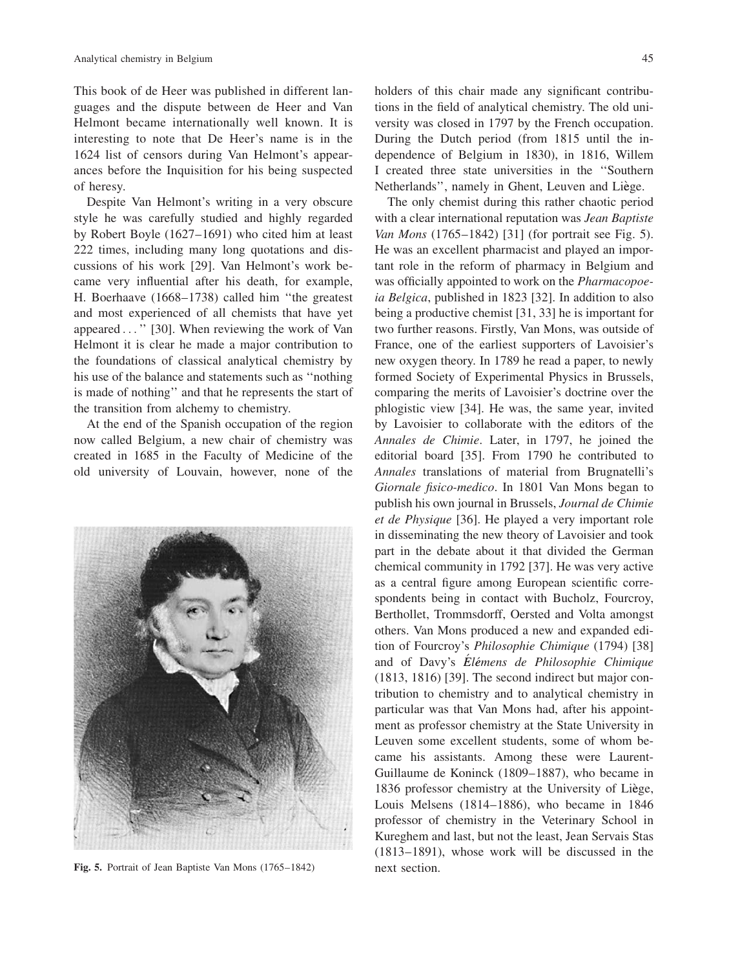This book of de Heer was published in different languages and the dispute between de Heer and Van Helmont became internationally well known. It is interesting to note that De Heer's name is in the 1624 list of censors during Van Helmont's appearances before the Inquisition for his being suspected of heresy.

Despite Van Helmont's writing in a very obscure style he was carefully studied and highly regarded by Robert Boyle (1627–1691) who cited him at least 222 times, including many long quotations and discussions of his work [29]. Van Helmont's work became very influential after his death, for example, H. Boerhaave (1668–1738) called him ''the greatest and most experienced of all chemists that have yet appeared ... '' [30]. When reviewing the work of Van Helmont it is clear he made a major contribution to the foundations of classical analytical chemistry by his use of the balance and statements such as ''nothing is made of nothing'' and that he represents the start of the transition from alchemy to chemistry.

At the end of the Spanish occupation of the region now called Belgium, a new chair of chemistry was created in 1685 in the Faculty of Medicine of the old university of Louvain, however, none of the



Fig. 5. Portrait of Jean Baptiste Van Mons (1765–1842) next section.

holders of this chair made any significant contributions in the field of analytical chemistry. The old university was closed in 1797 by the French occupation. During the Dutch period (from 1815 until the independence of Belgium in 1830), in 1816, Willem I created three state universities in the ''Southern Netherlands", namely in Ghent, Leuven and Liège.

The only chemist during this rather chaotic period with a clear international reputation was Jean Baptiste Van Mons (1765–1842) [31] (for portrait see Fig. 5). He was an excellent pharmacist and played an important role in the reform of pharmacy in Belgium and was officially appointed to work on the Pharmacopoeia Belgica, published in 1823 [32]. In addition to also being a productive chemist [31, 33] he is important for two further reasons. Firstly, Van Mons, was outside of France, one of the earliest supporters of Lavoisier's new oxygen theory. In 1789 he read a paper, to newly formed Society of Experimental Physics in Brussels, comparing the merits of Lavoisier's doctrine over the phlogistic view [34]. He was, the same year, invited by Lavoisier to collaborate with the editors of the Annales de Chimie. Later, in 1797, he joined the editorial board [35]. From 1790 he contributed to Annales translations of material from Brugnatelli's Giornale fisico-medico. In 1801 Van Mons began to publish his own journal in Brussels, Journal de Chimie et de Physique [36]. He played a very important role in disseminating the new theory of Lavoisier and took part in the debate about it that divided the German chemical community in 1792 [37]. He was very active as a central figure among European scientific correspondents being in contact with Bucholz, Fourcroy, Berthollet, Trommsdorff, Oersted and Volta amongst others. Van Mons produced a new and expanded edition of Fourcroy's Philosophie Chimique (1794) [38] and of Davy's Élémens de Philosophie Chimique (1813, 1816) [39]. The second indirect but major contribution to chemistry and to analytical chemistry in particular was that Van Mons had, after his appointment as professor chemistry at the State University in Leuven some excellent students, some of whom became his assistants. Among these were Laurent-Guillaume de Koninck (1809–1887), who became in 1836 professor chemistry at the University of Liege, Louis Melsens (1814–1886), who became in 1846 professor of chemistry in the Veterinary School in Kureghem and last, but not the least, Jean Servais Stas (1813–1891), whose work will be discussed in the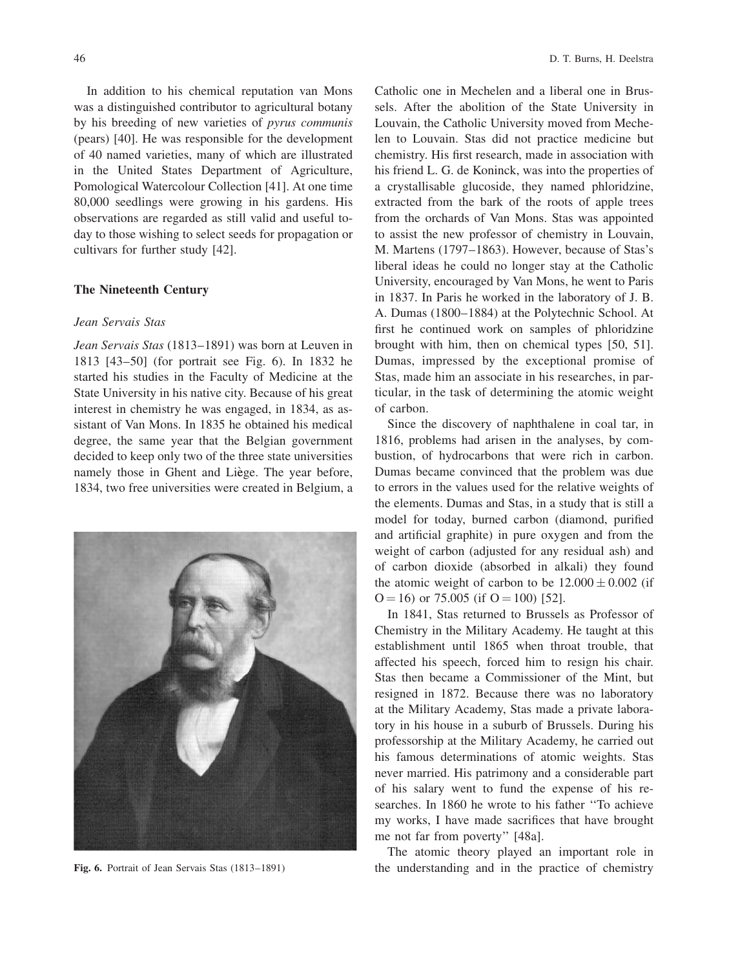In addition to his chemical reputation van Mons was a distinguished contributor to agricultural botany by his breeding of new varieties of pyrus communis (pears) [40]. He was responsible for the development of 40 named varieties, many of which are illustrated in the United States Department of Agriculture, Pomological Watercolour Collection [41]. At one time 80,000 seedlings were growing in his gardens. His observations are regarded as still valid and useful today to those wishing to select seeds for propagation or cultivars for further study [42].

#### The Nineteenth Century

#### Jean Servais Stas

Jean Servais Stas (1813–1891) was born at Leuven in 1813 [43–50] (for portrait see Fig. 6). In 1832 he started his studies in the Faculty of Medicine at the State University in his native city. Because of his great interest in chemistry he was engaged, in 1834, as assistant of Van Mons. In 1835 he obtained his medical degree, the same year that the Belgian government decided to keep only two of the three state universities namely those in Ghent and Liege. The year before, 1834, two free universities were created in Belgium, a



Catholic one in Mechelen and a liberal one in Brussels. After the abolition of the State University in Louvain, the Catholic University moved from Mechelen to Louvain. Stas did not practice medicine but chemistry. His first research, made in association with his friend L. G. de Koninck, was into the properties of a crystallisable glucoside, they named phloridzine, extracted from the bark of the roots of apple trees from the orchards of Van Mons. Stas was appointed to assist the new professor of chemistry in Louvain, M. Martens (1797–1863). However, because of Stas's liberal ideas he could no longer stay at the Catholic University, encouraged by Van Mons, he went to Paris in 1837. In Paris he worked in the laboratory of J. B. A. Dumas (1800–1884) at the Polytechnic School. At first he continued work on samples of phloridzine brought with him, then on chemical types [50, 51]. Dumas, impressed by the exceptional promise of Stas, made him an associate in his researches, in particular, in the task of determining the atomic weight of carbon.

Since the discovery of naphthalene in coal tar, in 1816, problems had arisen in the analyses, by combustion, of hydrocarbons that were rich in carbon. Dumas became convinced that the problem was due to errors in the values used for the relative weights of the elements. Dumas and Stas, in a study that is still a model for today, burned carbon (diamond, purified and artificial graphite) in pure oxygen and from the weight of carbon (adjusted for any residual ash) and of carbon dioxide (absorbed in alkali) they found the atomic weight of carbon to be  $12.000 \pm 0.002$  (if  $Q = 16$ ) or 75.005 (if  $Q = 100$ ) [52].

In 1841, Stas returned to Brussels as Professor of Chemistry in the Military Academy. He taught at this establishment until 1865 when throat trouble, that affected his speech, forced him to resign his chair. Stas then became a Commissioner of the Mint, but resigned in 1872. Because there was no laboratory at the Military Academy, Stas made a private laboratory in his house in a suburb of Brussels. During his professorship at the Military Academy, he carried out his famous determinations of atomic weights. Stas never married. His patrimony and a considerable part of his salary went to fund the expense of his researches. In 1860 he wrote to his father ''To achieve my works, I have made sacrifices that have brought me not far from poverty'' [48a].

The atomic theory played an important role in Fig. 6. Portrait of Jean Servais Stas (1813–1891) the understanding and in the practice of chemistry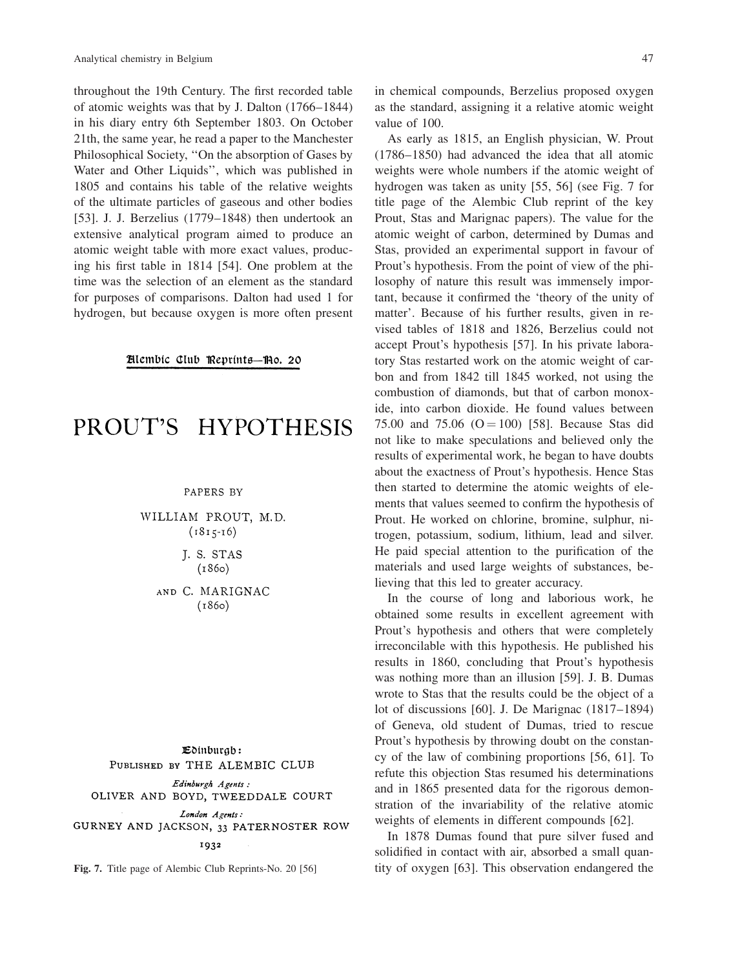throughout the 19th Century. The first recorded table of atomic weights was that by J. Dalton (1766–1844) in his diary entry 6th September 1803. On October 21th, the same year, he read a paper to the Manchester Philosophical Society, ''On the absorption of Gases by Water and Other Liquids'', which was published in 1805 and contains his table of the relative weights of the ultimate particles of gaseous and other bodies [53]. J. J. Berzelius (1779–1848) then undertook an extensive analytical program aimed to produce an atomic weight table with more exact values, producing his first table in 1814 [54]. One problem at the time was the selection of an element as the standard for purposes of comparisons. Dalton had used 1 for hydrogen, but because oxygen is more often present

Alembic Club Reprints-Ro. 20

# PROUT'S HYPOTHESIS

#### PAPERS BY

WILLIAM PROUT, M.D.  $(1815-16)$ 

> J. S. STAS  $(1860)$

AND C. MARIGNAC  $(1860)$ 

 $\mathbf E$ dinburgh: PUBLISHED BY THE ALEMBIC CLUB

Edinburgh Agents: OLIVER AND BOYD, TWEEDDALE COURT

London Agents: GURNEY AND JACKSON, 33 PATERNOSTER ROW

#### 1932

in chemical compounds, Berzelius proposed oxygen as the standard, assigning it a relative atomic weight value of 100.

As early as 1815, an English physician, W. Prout (1786–1850) had advanced the idea that all atomic weights were whole numbers if the atomic weight of hydrogen was taken as unity [55, 56] (see Fig. 7 for title page of the Alembic Club reprint of the key Prout, Stas and Marignac papers). The value for the atomic weight of carbon, determined by Dumas and Stas, provided an experimental support in favour of Prout's hypothesis. From the point of view of the philosophy of nature this result was immensely important, because it confirmed the 'theory of the unity of matter'. Because of his further results, given in revised tables of 1818 and 1826, Berzelius could not accept Prout's hypothesis [57]. In his private laboratory Stas restarted work on the atomic weight of carbon and from 1842 till 1845 worked, not using the combustion of diamonds, but that of carbon monoxide, into carbon dioxide. He found values between 75.00 and 75.06  $(O = 100)$  [58]. Because Stas did not like to make speculations and believed only the results of experimental work, he began to have doubts about the exactness of Prout's hypothesis. Hence Stas then started to determine the atomic weights of elements that values seemed to confirm the hypothesis of Prout. He worked on chlorine, bromine, sulphur, nitrogen, potassium, sodium, lithium, lead and silver. He paid special attention to the purification of the materials and used large weights of substances, believing that this led to greater accuracy.

In the course of long and laborious work, he obtained some results in excellent agreement with Prout's hypothesis and others that were completely irreconcilable with this hypothesis. He published his results in 1860, concluding that Prout's hypothesis was nothing more than an illusion [59]. J. B. Dumas wrote to Stas that the results could be the object of a lot of discussions [60]. J. De Marignac (1817–1894) of Geneva, old student of Dumas, tried to rescue Prout's hypothesis by throwing doubt on the constancy of the law of combining proportions [56, 61]. To refute this objection Stas resumed his determinations and in 1865 presented data for the rigorous demonstration of the invariability of the relative atomic weights of elements in different compounds [62].

In 1878 Dumas found that pure silver fused and solidified in contact with air, absorbed a small quan-Fig. 7. Title page of Alembic Club Reprints-No. 20 [56] tity of oxygen [63]. This observation endangered the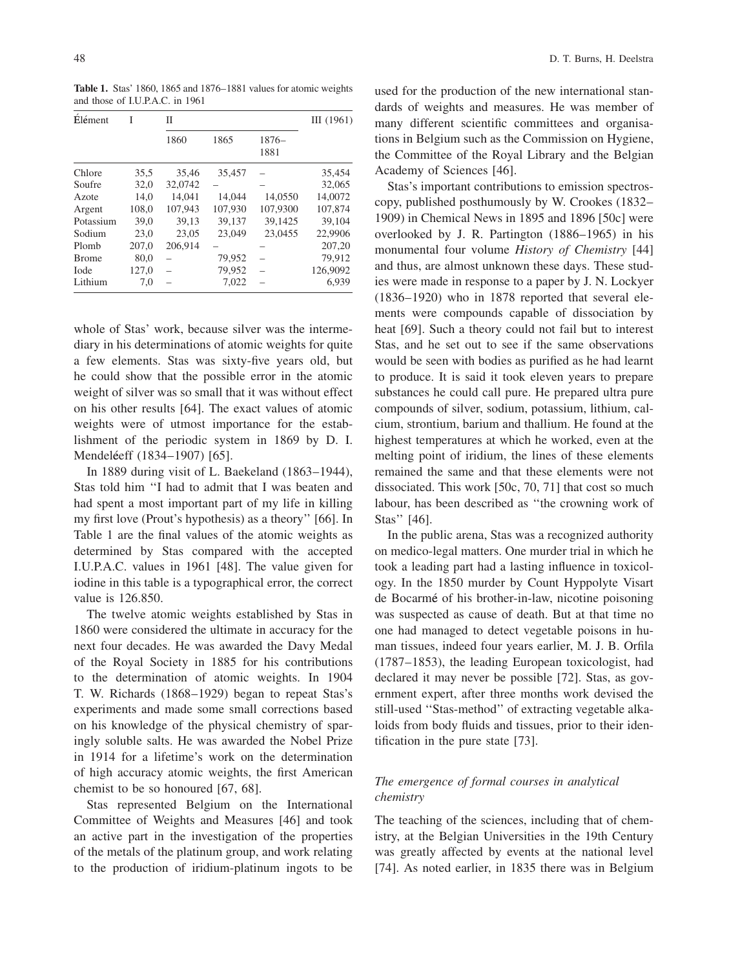Table 1. Stas' 1860, 1865 and 1876–1881 values for atomic weights and those of I.U.P.A.C. in 1961

| Elément      | T     | П       |         |                 | III (1961) |
|--------------|-------|---------|---------|-----------------|------------|
|              |       | 1860    | 1865    | $1876-$<br>1881 |            |
| Chlore       | 35,5  | 35,46   | 35,457  |                 | 35,454     |
| Soufre       | 32,0  | 32,0742 |         |                 | 32,065     |
| Azote        | 14.0  | 14.041  | 14.044  | 14,0550         | 14,0072    |
| Argent       | 108.0 | 107.943 | 107.930 | 107.9300        | 107,874    |
| Potassium    | 39.0  | 39.13   | 39.137  | 39.1425         | 39.104     |
| Sodium       | 23,0  | 23.05   | 23,049  | 23,0455         | 22,9906    |
| Plomb        | 207,0 | 206,914 |         |                 | 207,20     |
| <b>Brome</b> | 80.0  |         | 79,952  |                 | 79.912     |
| <b>Tode</b>  | 127,0 |         | 79,952  |                 | 126,9092   |
| Lithium      | 7,0   |         | 7.022   |                 | 6.939      |

whole of Stas' work, because silver was the intermediary in his determinations of atomic weights for quite a few elements. Stas was sixty-five years old, but he could show that the possible error in the atomic weight of silver was so small that it was without effect on his other results [64]. The exact values of atomic weights were of utmost importance for the establishment of the periodic system in 1869 by D. I. Mendeléeff (1834–1907) [65].

In 1889 during visit of L. Baekeland (1863–1944), Stas told him ''I had to admit that I was beaten and had spent a most important part of my life in killing my first love (Prout's hypothesis) as a theory'' [66]. In Table 1 are the final values of the atomic weights as determined by Stas compared with the accepted I.U.P.A.C. values in 1961 [48]. The value given for iodine in this table is a typographical error, the correct value is 126.850.

The twelve atomic weights established by Stas in 1860 were considered the ultimate in accuracy for the next four decades. He was awarded the Davy Medal of the Royal Society in 1885 for his contributions to the determination of atomic weights. In 1904 T. W. Richards (1868–1929) began to repeat Stas's experiments and made some small corrections based on his knowledge of the physical chemistry of sparingly soluble salts. He was awarded the Nobel Prize in 1914 for a lifetime's work on the determination of high accuracy atomic weights, the first American chemist to be so honoured [67, 68].

Stas represented Belgium on the International Committee of Weights and Measures [46] and took an active part in the investigation of the properties of the metals of the platinum group, and work relating to the production of iridium-platinum ingots to be used for the production of the new international standards of weights and measures. He was member of many different scientific committees and organisations in Belgium such as the Commission on Hygiene, the Committee of the Royal Library and the Belgian Academy of Sciences [46].

Stas's important contributions to emission spectroscopy, published posthumously by W. Crookes (1832– 1909) in Chemical News in 1895 and 1896 [50c] were overlooked by J. R. Partington (1886–1965) in his monumental four volume History of Chemistry [44] and thus, are almost unknown these days. These studies were made in response to a paper by J. N. Lockyer (1836–1920) who in 1878 reported that several elements were compounds capable of dissociation by heat [69]. Such a theory could not fail but to interest Stas, and he set out to see if the same observations would be seen with bodies as purified as he had learnt to produce. It is said it took eleven years to prepare substances he could call pure. He prepared ultra pure compounds of silver, sodium, potassium, lithium, calcium, strontium, barium and thallium. He found at the highest temperatures at which he worked, even at the melting point of iridium, the lines of these elements remained the same and that these elements were not dissociated. This work [50c, 70, 71] that cost so much labour, has been described as ''the crowning work of Stas'' [46].

In the public arena, Stas was a recognized authority on medico-legal matters. One murder trial in which he took a leading part had a lasting influence in toxicology. In the 1850 murder by Count Hyppolyte Visart de Bocarmé of his brother-in-law, nicotine poisoning was suspected as cause of death. But at that time no one had managed to detect vegetable poisons in human tissues, indeed four years earlier, M. J. B. Orfila (1787–1853), the leading European toxicologist, had declared it may never be possible [72]. Stas, as government expert, after three months work devised the still-used ''Stas-method'' of extracting vegetable alkaloids from body fluids and tissues, prior to their identification in the pure state [73].

#### The emergence of formal courses in analytical chemistry

The teaching of the sciences, including that of chemistry, at the Belgian Universities in the 19th Century was greatly affected by events at the national level [74]. As noted earlier, in 1835 there was in Belgium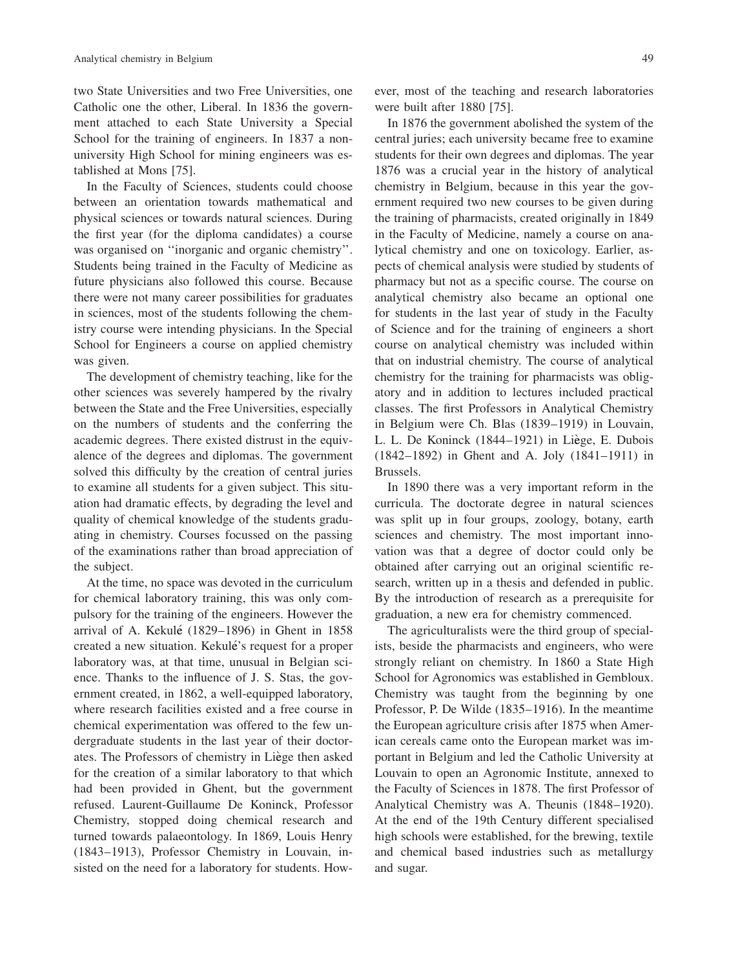two State Universities and two Free Universities, one Catholic one the other, Liberal. In 1836 the government attached to each State University a Special School for the training of engineers. In 1837 a nonuniversity High School for mining engineers was established at Mons [75].

In the Faculty of Sciences, students could choose between an orientation towards mathematical and physical sciences or towards natural sciences. During the first year (for the diploma candidates) a course was organised on ''inorganic and organic chemistry''. Students being trained in the Faculty of Medicine as future physicians also followed this course. Because there were not many career possibilities for graduates in sciences, most of the students following the chemistry course were intending physicians. In the Special School for Engineers a course on applied chemistry was given.

The development of chemistry teaching, like for the other sciences was severely hampered by the rivalry between the State and the Free Universities, especially on the numbers of students and the conferring the academic degrees. There existed distrust in the equivalence of the degrees and diplomas. The government solved this difficulty by the creation of central juries to examine all students for a given subject. This situation had dramatic effects, by degrading the level and quality of chemical knowledge of the students graduating in chemistry. Courses focussed on the passing of the examinations rather than broad appreciation of the subject.

At the time, no space was devoted in the curriculum for chemical laboratory training, this was only compulsory for the training of the engineers. However the arrival of A. Kekulé (1829–1896) in Ghent in 1858 created a new situation. Kekulé's request for a proper laboratory was, at that time, unusual in Belgian science. Thanks to the influence of J. S. Stas, the government created, in 1862, a well-equipped laboratory, where research facilities existed and a free course in chemical experimentation was offered to the few undergraduate students in the last year of their doctorates. The Professors of chemistry in Liege then asked for the creation of a similar laboratory to that which had been provided in Ghent, but the government refused. Laurent-Guillaume De Koninck, Professor Chemistry, stopped doing chemical research and turned towards palaeontology. In 1869, Louis Henry (1843–1913), Professor Chemistry in Louvain, insisted on the need for a laboratory for students. However, most of the teaching and research laboratories were built after 1880 [75].

In 1876 the government abolished the system of the central juries; each university became free to examine students for their own degrees and diplomas. The year 1876 was a crucial year in the history of analytical chemistry in Belgium, because in this year the government required two new courses to be given during the training of pharmacists, created originally in 1849 in the Faculty of Medicine, namely a course on analytical chemistry and one on toxicology. Earlier, aspects of chemical analysis were studied by students of pharmacy but not as a specific course. The course on analytical chemistry also became an optional one for students in the last year of study in the Faculty of Science and for the training of engineers a short course on analytical chemistry was included within that on industrial chemistry. The course of analytical chemistry for the training for pharmacists was obligatory and in addition to lectures included practical classes. The first Professors in Analytical Chemistry in Belgium were Ch. Blas (1839–1919) in Louvain, L. L. De Koninck (1844–1921) in Liege, E. Dubois (1842–1892) in Ghent and A. Joly (1841–1911) in Brussels.

In 1890 there was a very important reform in the curricula. The doctorate degree in natural sciences was split up in four groups, zoology, botany, earth sciences and chemistry. The most important innovation was that a degree of doctor could only be obtained after carrying out an original scientific research, written up in a thesis and defended in public. By the introduction of research as a prerequisite for graduation, a new era for chemistry commenced.

The agriculturalists were the third group of specialists, beside the pharmacists and engineers, who were strongly reliant on chemistry. In 1860 a State High School for Agronomics was established in Gembloux. Chemistry was taught from the beginning by one Professor, P. De Wilde (1835–1916). In the meantime the European agriculture crisis after 1875 when American cereals came onto the European market was important in Belgium and led the Catholic University at Louvain to open an Agronomic Institute, annexed to the Faculty of Sciences in 1878. The first Professor of Analytical Chemistry was A. Theunis (1848–1920). At the end of the 19th Century different specialised high schools were established, for the brewing, textile and chemical based industries such as metallurgy and sugar.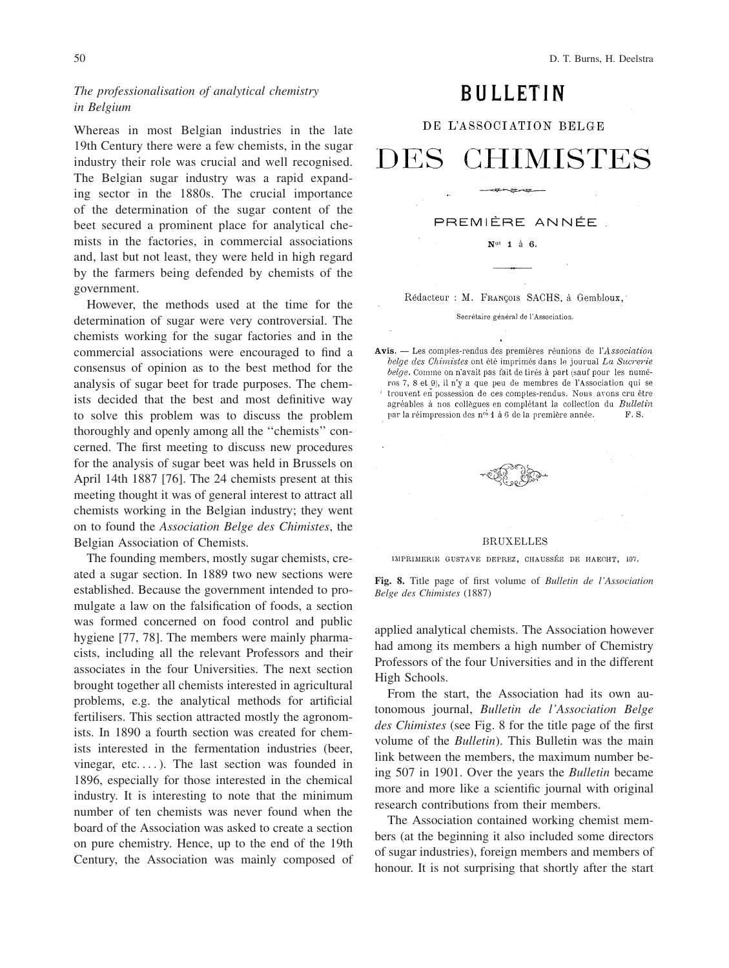#### The professionalisation of analytical chemistry in Belgium

Whereas in most Belgian industries in the late 19th Century there were a few chemists, in the sugar industry their role was crucial and well recognised. The Belgian sugar industry was a rapid expanding sector in the 1880s. The crucial importance of the determination of the sugar content of the beet secured a prominent place for analytical chemists in the factories, in commercial associations and, last but not least, they were held in high regard by the farmers being defended by chemists of the government.

However, the methods used at the time for the determination of sugar were very controversial. The chemists working for the sugar factories and in the commercial associations were encouraged to find a consensus of opinion as to the best method for the analysis of sugar beet for trade purposes. The chemists decided that the best and most definitive way to solve this problem was to discuss the problem thoroughly and openly among all the ''chemists'' concerned. The first meeting to discuss new procedures for the analysis of sugar beet was held in Brussels on April 14th 1887 [76]. The 24 chemists present at this meeting thought it was of general interest to attract all chemists working in the Belgian industry; they went on to found the Association Belge des Chimistes, the Belgian Association of Chemists.

The founding members, mostly sugar chemists, created a sugar section. In 1889 two new sections were established. Because the government intended to promulgate a law on the falsification of foods, a section was formed concerned on food control and public hygiene [77, 78]. The members were mainly pharmacists, including all the relevant Professors and their associates in the four Universities. The next section brought together all chemists interested in agricultural problems, e.g. the analytical methods for artificial fertilisers. This section attracted mostly the agronomists. In 1890 a fourth section was created for chemists interested in the fermentation industries (beer, vinegar,  $etc. \ldots$ ). The last section was founded in 1896, especially for those interested in the chemical industry. It is interesting to note that the minimum number of ten chemists was never found when the board of the Association was asked to create a section on pure chemistry. Hence, up to the end of the 19th Century, the Association was mainly composed of

# **BULLETIN**

DE L'ASSOCIATION BELGE CHIMISTES DES

#### PREMIÈRE ANNÉE.

N<sup>os</sup> 1 à 6.

cte mezrcez

Rédacteur : M. François SACHS, à Gembloux,

Secrétaire général de l'Association.

Avis. - Les comptes-rendus des premières réunions de l'Association belge des Chimistes ont été imprimés dans le jourual La Sucrerie belge. Comme on n'avait pas fait de tirés à part (sauf pour les numéros 7, 8 et 9), il n'y a que peu de membres de l'Association qui se trouvent en possession de ces comptes-rendus. Nous avons cru être agréables à nos collègues en complétant la collection du Bulletin par la réimpression des nos 1 à 6 de la première année.  $F.S.$ 



#### **BRUXELLES**

IMPRIMERIE GUSTAVE DEPREZ, CHAUSSÉE DE HAECHT, 107.

Fig. 8. Title page of first volume of Bulletin de l'Association Belge des Chimistes (1887)

applied analytical chemists. The Association however had among its members a high number of Chemistry Professors of the four Universities and in the different High Schools.

From the start, the Association had its own autonomous journal, Bulletin de l'Association Belge des Chimistes (see Fig. 8 for the title page of the first volume of the Bulletin). This Bulletin was the main link between the members, the maximum number being 507 in 1901. Over the years the Bulletin became more and more like a scientific journal with original research contributions from their members.

The Association contained working chemist members (at the beginning it also included some directors of sugar industries), foreign members and members of honour. It is not surprising that shortly after the start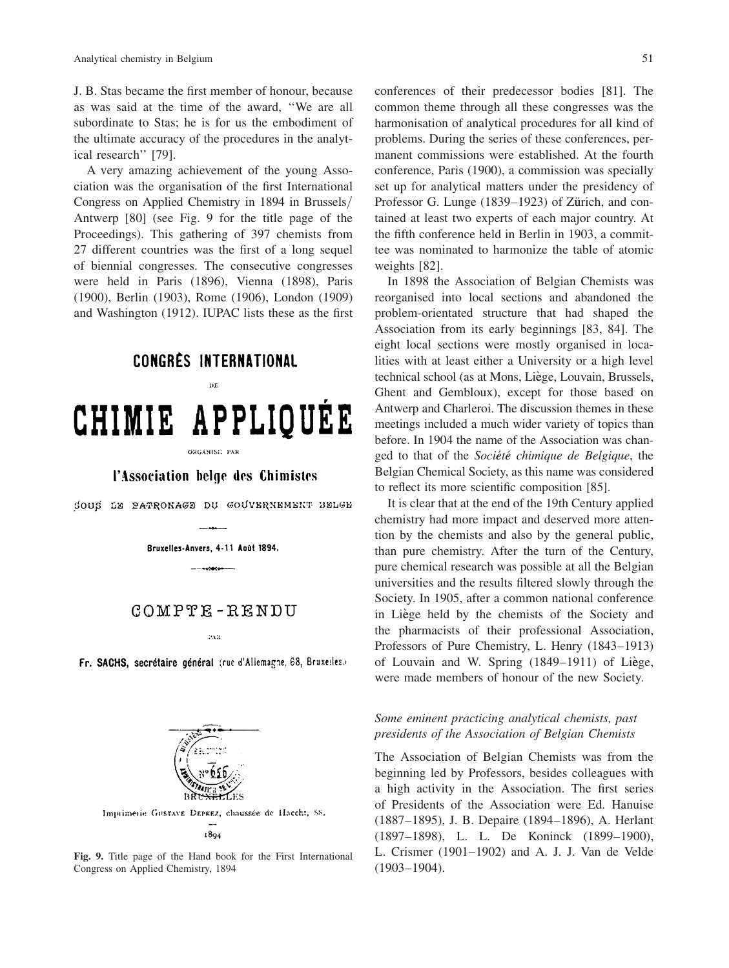J. B. Stas became the first member of honour, because as was said at the time of the award, ''We are all subordinate to Stas; he is for us the embodiment of the ultimate accuracy of the procedures in the analytical research'' [79].

A very amazing achievement of the young Association was the organisation of the first International Congress on Applied Chemistry in 1894 in Brussels/ Antwerp [80] (see Fig. 9 for the title page of the Proceedings). This gathering of 397 chemists from 27 different countries was the first of a long sequel of biennial congresses. The consecutive congresses were held in Paris (1896), Vienna (1898), Paris (1900), Berlin (1903), Rome (1906), London (1909) and Washington (1912). IUPAC lists these as the first

## **CONGRÈS INTERNATIONAL**  $\overline{\mathbf{a}}$

# CHIMIE APPLIOUÉE

ORGANISE PAR

#### l'Association belge des Chimistes

SOUS DE PATRONAGE DU GOUVERNEMENT BELGE

Bruxelles-Anvers, 4-11 Août 1894.

## $COMPTE-RENDU$

#### $\sim$

Fr. SACHS, secrétaire général (rue d'Allemagne, 68, Bruxelles.)



Imprimerie GUSTAVE DEPREZ, chaussée de Haecht, SS. 1894

Fig. 9. Title page of the Hand book for the First International Congress on Applied Chemistry, 1894

conferences of their predecessor bodies [81]. The common theme through all these congresses was the harmonisation of analytical procedures for all kind of problems. During the series of these conferences, permanent commissions were established. At the fourth conference, Paris (1900), a commission was specially set up for analytical matters under the presidency of Professor G. Lunge (1839–1923) of Zürich, and contained at least two experts of each major country. At the fifth conference held in Berlin in 1903, a committee was nominated to harmonize the table of atomic weights [82].

In 1898 the Association of Belgian Chemists was reorganised into local sections and abandoned the problem-orientated structure that had shaped the Association from its early beginnings [83, 84]. The eight local sections were mostly organised in localities with at least either a University or a high level technical school (as at Mons, Liege, Louvain, Brussels, Ghent and Gembloux), except for those based on Antwerp and Charleroi. The discussion themes in these meetings included a much wider variety of topics than before. In 1904 the name of the Association was changed to that of the Société chimique de Belgique, the Belgian Chemical Society, as this name was considered to reflect its more scientific composition [85].

It is clear that at the end of the 19th Century applied chemistry had more impact and deserved more attention by the chemists and also by the general public, than pure chemistry. After the turn of the Century, pure chemical research was possible at all the Belgian universities and the results filtered slowly through the Society. In 1905, after a common national conference in Liege held by the chemists of the Society and the pharmacists of their professional Association, Professors of Pure Chemistry, L. Henry (1843–1913) of Louvain and W. Spring (1849–1911) of Liege, were made members of honour of the new Society.

#### Some eminent practicing analytical chemists, past presidents of the Association of Belgian Chemists

The Association of Belgian Chemists was from the beginning led by Professors, besides colleagues with a high activity in the Association. The first series of Presidents of the Association were Ed. Hanuise (1887–1895), J. B. Depaire (1894–1896), A. Herlant (1897–1898), L. L. De Koninck (1899–1900), L. Crismer (1901–1902) and A. J. J. Van de Velde (1903–1904).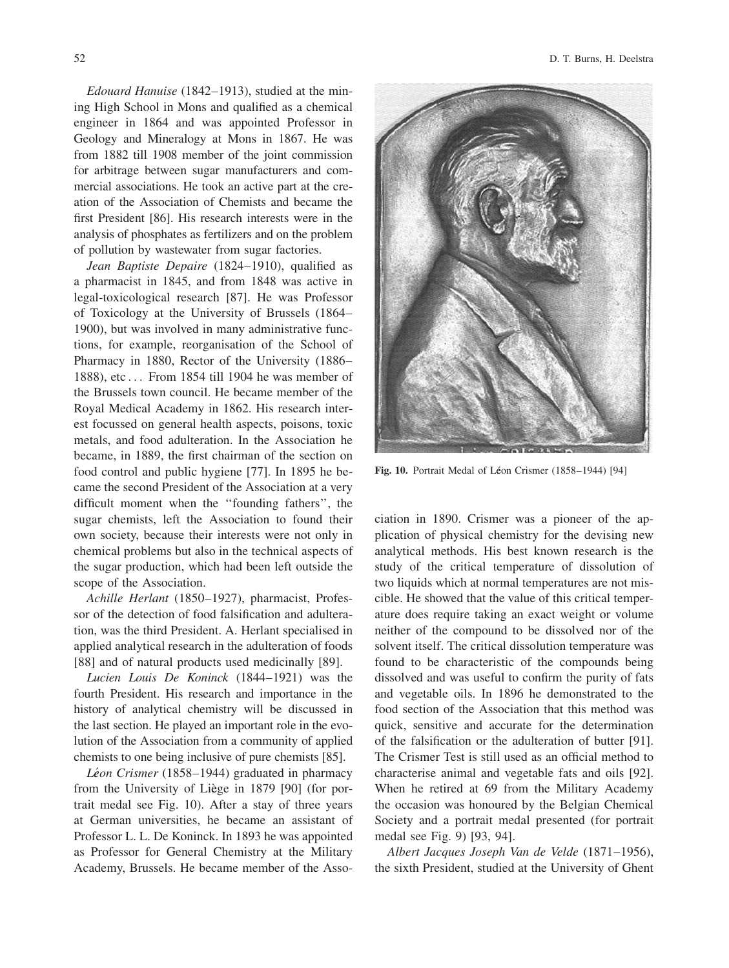Edouard Hanuise (1842–1913), studied at the mining High School in Mons and qualified as a chemical engineer in 1864 and was appointed Professor in Geology and Mineralogy at Mons in 1867. He was from 1882 till 1908 member of the joint commission for arbitrage between sugar manufacturers and commercial associations. He took an active part at the creation of the Association of Chemists and became the first President [86]. His research interests were in the analysis of phosphates as fertilizers and on the problem of pollution by wastewater from sugar factories.

Jean Baptiste Depaire (1824–1910), qualified as a pharmacist in 1845, and from 1848 was active in legal-toxicological research [87]. He was Professor of Toxicology at the University of Brussels (1864– 1900), but was involved in many administrative functions, for example, reorganisation of the School of Pharmacy in 1880, Rector of the University (1886– 1888), etc ... From 1854 till 1904 he was member of the Brussels town council. He became member of the Royal Medical Academy in 1862. His research interest focussed on general health aspects, poisons, toxic metals, and food adulteration. In the Association he became, in 1889, the first chairman of the section on food control and public hygiene [77]. In 1895 he became the second President of the Association at a very difficult moment when the ''founding fathers'', the sugar chemists, left the Association to found their own society, because their interests were not only in chemical problems but also in the technical aspects of the sugar production, which had been left outside the scope of the Association.

Achille Herlant (1850–1927), pharmacist, Professor of the detection of food falsification and adulteration, was the third President. A. Herlant specialised in applied analytical research in the adulteration of foods [88] and of natural products used medicinally [89].

Lucien Louis De Koninck (1844–1921) was the fourth President. His research and importance in the history of analytical chemistry will be discussed in the last section. He played an important role in the evolution of the Association from a community of applied chemists to one being inclusive of pure chemists [85].

Léon Crismer (1858-1944) graduated in pharmacy from the University of Liege in 1879 [90] (for portrait medal see Fig. 10). After a stay of three years at German universities, he became an assistant of Professor L. L. De Koninck. In 1893 he was appointed as Professor for General Chemistry at the Military Academy, Brussels. He became member of the Asso-



Fig. 10. Portrait Medal of Léon Crismer (1858-1944) [94]

ciation in 1890. Crismer was a pioneer of the application of physical chemistry for the devising new analytical methods. His best known research is the study of the critical temperature of dissolution of two liquids which at normal temperatures are not miscible. He showed that the value of this critical temperature does require taking an exact weight or volume neither of the compound to be dissolved nor of the solvent itself. The critical dissolution temperature was found to be characteristic of the compounds being dissolved and was useful to confirm the purity of fats and vegetable oils. In 1896 he demonstrated to the food section of the Association that this method was quick, sensitive and accurate for the determination of the falsification or the adulteration of butter [91]. The Crismer Test is still used as an official method to characterise animal and vegetable fats and oils [92]. When he retired at 69 from the Military Academy the occasion was honoured by the Belgian Chemical Society and a portrait medal presented (for portrait medal see Fig. 9) [93, 94].

Albert Jacques Joseph Van de Velde (1871–1956), the sixth President, studied at the University of Ghent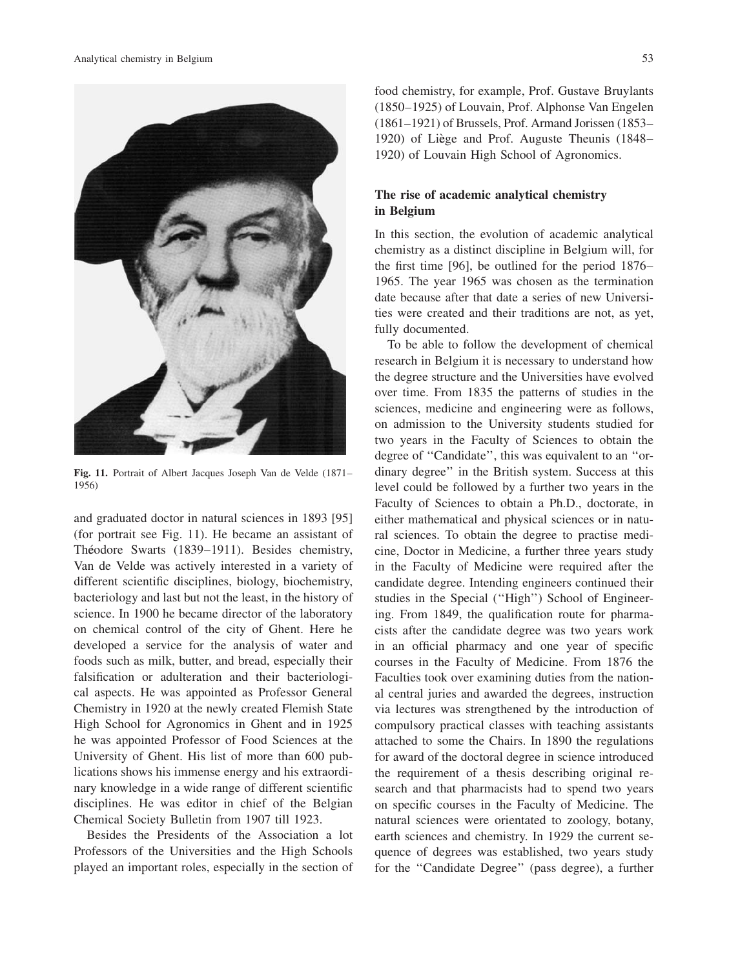

Fig. 11. Portrait of Albert Jacques Joseph Van de Velde (1871– 1956)

and graduated doctor in natural sciences in 1893 [95] (for portrait see Fig. 11). He became an assistant of Théodore Swarts (1839-1911). Besides chemistry, Van de Velde was actively interested in a variety of different scientific disciplines, biology, biochemistry, bacteriology and last but not the least, in the history of science. In 1900 he became director of the laboratory on chemical control of the city of Ghent. Here he developed a service for the analysis of water and foods such as milk, butter, and bread, especially their falsification or adulteration and their bacteriological aspects. He was appointed as Professor General Chemistry in 1920 at the newly created Flemish State High School for Agronomics in Ghent and in 1925 he was appointed Professor of Food Sciences at the University of Ghent. His list of more than 600 publications shows his immense energy and his extraordinary knowledge in a wide range of different scientific disciplines. He was editor in chief of the Belgian Chemical Society Bulletin from 1907 till 1923.

Besides the Presidents of the Association a lot Professors of the Universities and the High Schools played an important roles, especially in the section of food chemistry, for example, Prof. Gustave Bruylants (1850–1925) of Louvain, Prof. Alphonse Van Engelen (1861–1921) of Brussels, Prof. Armand Jorissen (1853– 1920) of Liege and Prof. Auguste Theunis (1848– 1920) of Louvain High School of Agronomics.

#### The rise of academic analytical chemistry in Belgium

In this section, the evolution of academic analytical chemistry as a distinct discipline in Belgium will, for the first time [96], be outlined for the period 1876– 1965. The year 1965 was chosen as the termination date because after that date a series of new Universities were created and their traditions are not, as yet, fully documented.

To be able to follow the development of chemical research in Belgium it is necessary to understand how the degree structure and the Universities have evolved over time. From 1835 the patterns of studies in the sciences, medicine and engineering were as follows, on admission to the University students studied for two years in the Faculty of Sciences to obtain the degree of ''Candidate'', this was equivalent to an ''ordinary degree'' in the British system. Success at this level could be followed by a further two years in the Faculty of Sciences to obtain a Ph.D., doctorate, in either mathematical and physical sciences or in natural sciences. To obtain the degree to practise medicine, Doctor in Medicine, a further three years study in the Faculty of Medicine were required after the candidate degree. Intending engineers continued their studies in the Special (''High'') School of Engineering. From 1849, the qualification route for pharmacists after the candidate degree was two years work in an official pharmacy and one year of specific courses in the Faculty of Medicine. From 1876 the Faculties took over examining duties from the national central juries and awarded the degrees, instruction via lectures was strengthened by the introduction of compulsory practical classes with teaching assistants attached to some the Chairs. In 1890 the regulations for award of the doctoral degree in science introduced the requirement of a thesis describing original research and that pharmacists had to spend two years on specific courses in the Faculty of Medicine. The natural sciences were orientated to zoology, botany, earth sciences and chemistry. In 1929 the current sequence of degrees was established, two years study for the ''Candidate Degree'' (pass degree), a further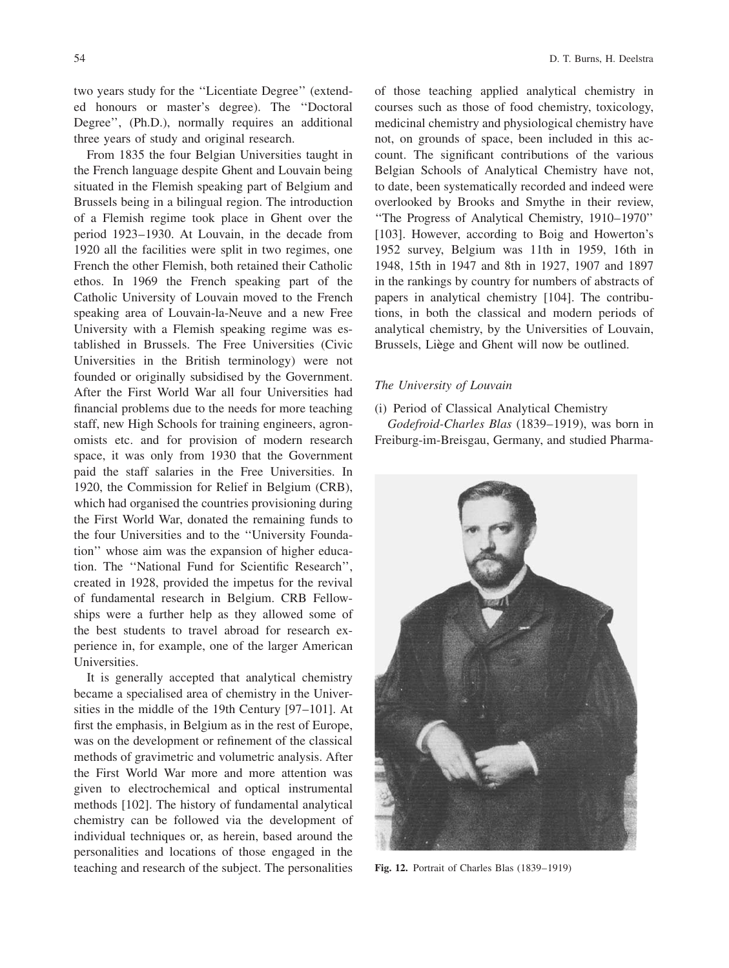two years study for the ''Licentiate Degree'' (extended honours or master's degree). The ''Doctoral Degree'', (Ph.D.), normally requires an additional three years of study and original research.

From 1835 the four Belgian Universities taught in the French language despite Ghent and Louvain being situated in the Flemish speaking part of Belgium and Brussels being in a bilingual region. The introduction of a Flemish regime took place in Ghent over the period 1923–1930. At Louvain, in the decade from 1920 all the facilities were split in two regimes, one French the other Flemish, both retained their Catholic ethos. In 1969 the French speaking part of the Catholic University of Louvain moved to the French speaking area of Louvain-la-Neuve and a new Free University with a Flemish speaking regime was established in Brussels. The Free Universities (Civic Universities in the British terminology) were not founded or originally subsidised by the Government. After the First World War all four Universities had financial problems due to the needs for more teaching staff, new High Schools for training engineers, agronomists etc. and for provision of modern research space, it was only from 1930 that the Government paid the staff salaries in the Free Universities. In 1920, the Commission for Relief in Belgium (CRB), which had organised the countries provisioning during the First World War, donated the remaining funds to the four Universities and to the ''University Foundation'' whose aim was the expansion of higher education. The ''National Fund for Scientific Research'', created in 1928, provided the impetus for the revival of fundamental research in Belgium. CRB Fellowships were a further help as they allowed some of the best students to travel abroad for research experience in, for example, one of the larger American Universities.

It is generally accepted that analytical chemistry became a specialised area of chemistry in the Universities in the middle of the 19th Century [97–101]. At first the emphasis, in Belgium as in the rest of Europe, was on the development or refinement of the classical methods of gravimetric and volumetric analysis. After the First World War more and more attention was given to electrochemical and optical instrumental methods [102]. The history of fundamental analytical chemistry can be followed via the development of individual techniques or, as herein, based around the personalities and locations of those engaged in the teaching and research of the subject. The personalities of those teaching applied analytical chemistry in courses such as those of food chemistry, toxicology, medicinal chemistry and physiological chemistry have not, on grounds of space, been included in this account. The significant contributions of the various Belgian Schools of Analytical Chemistry have not, to date, been systematically recorded and indeed were overlooked by Brooks and Smythe in their review, ''The Progress of Analytical Chemistry, 1910–1970'' [103]. However, according to Boig and Howerton's 1952 survey, Belgium was 11th in 1959, 16th in 1948, 15th in 1947 and 8th in 1927, 1907 and 1897 in the rankings by country for numbers of abstracts of papers in analytical chemistry [104]. The contributions, in both the classical and modern periods of analytical chemistry, by the Universities of Louvain, Brussels, Liège and Ghent will now be outlined.

#### The University of Louvain

(i) Period of Classical Analytical Chemistry

Godefroid-Charles Blas (1839–1919), was born in Freiburg-im-Breisgau, Germany, and studied Pharma-



Fig. 12. Portrait of Charles Blas (1839–1919)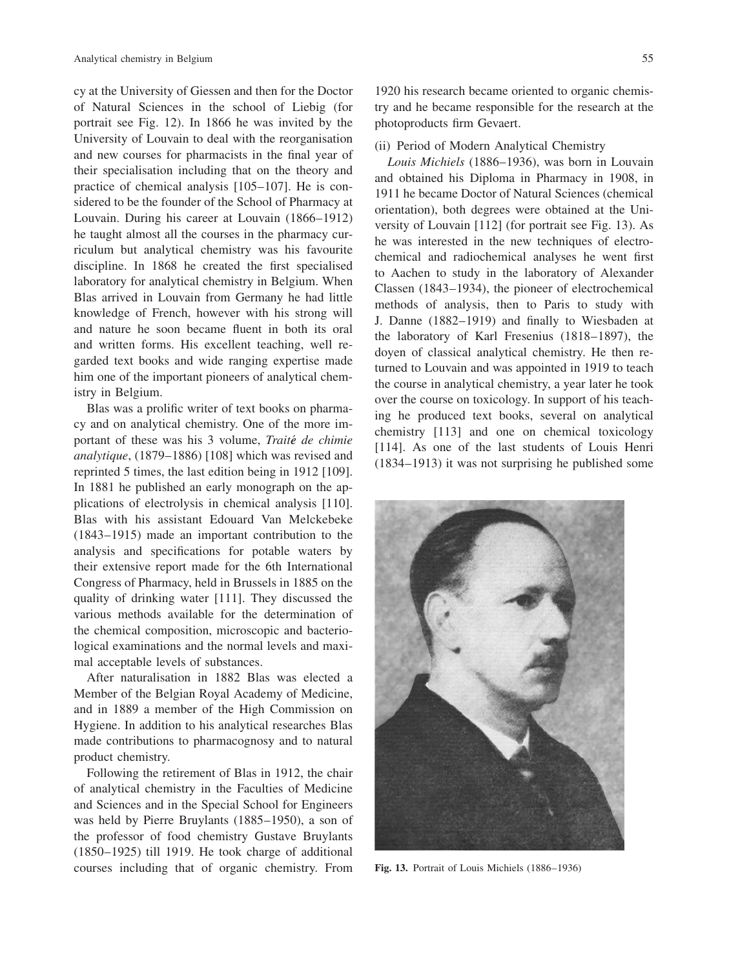cy at the University of Giessen and then for the Doctor of Natural Sciences in the school of Liebig (for portrait see Fig. 12). In 1866 he was invited by the University of Louvain to deal with the reorganisation and new courses for pharmacists in the final year of their specialisation including that on the theory and practice of chemical analysis [105–107]. He is considered to be the founder of the School of Pharmacy at Louvain. During his career at Louvain (1866–1912) he taught almost all the courses in the pharmacy curriculum but analytical chemistry was his favourite discipline. In 1868 he created the first specialised laboratory for analytical chemistry in Belgium. When Blas arrived in Louvain from Germany he had little knowledge of French, however with his strong will and nature he soon became fluent in both its oral and written forms. His excellent teaching, well regarded text books and wide ranging expertise made him one of the important pioneers of analytical chemistry in Belgium.

Blas was a prolific writer of text books on pharmacy and on analytical chemistry. One of the more important of these was his 3 volume, Traité de chimie analytique, (1879–1886) [108] which was revised and reprinted 5 times, the last edition being in 1912 [109]. In 1881 he published an early monograph on the applications of electrolysis in chemical analysis [110]. Blas with his assistant Edouard Van Melckebeke (1843–1915) made an important contribution to the analysis and specifications for potable waters by their extensive report made for the 6th International Congress of Pharmacy, held in Brussels in 1885 on the quality of drinking water [111]. They discussed the various methods available for the determination of the chemical composition, microscopic and bacteriological examinations and the normal levels and maximal acceptable levels of substances.

After naturalisation in 1882 Blas was elected a Member of the Belgian Royal Academy of Medicine, and in 1889 a member of the High Commission on Hygiene. In addition to his analytical researches Blas made contributions to pharmacognosy and to natural product chemistry.

Following the retirement of Blas in 1912, the chair of analytical chemistry in the Faculties of Medicine and Sciences and in the Special School for Engineers was held by Pierre Bruylants (1885–1950), a son of the professor of food chemistry Gustave Bruylants (1850–1925) till 1919. He took charge of additional courses including that of organic chemistry. From

1920 his research became oriented to organic chemistry and he became responsible for the research at the photoproducts firm Gevaert.

#### (ii) Period of Modern Analytical Chemistry

Louis Michiels (1886–1936), was born in Louvain and obtained his Diploma in Pharmacy in 1908, in 1911 he became Doctor of Natural Sciences (chemical orientation), both degrees were obtained at the University of Louvain [112] (for portrait see Fig. 13). As he was interested in the new techniques of electrochemical and radiochemical analyses he went first to Aachen to study in the laboratory of Alexander Classen (1843–1934), the pioneer of electrochemical methods of analysis, then to Paris to study with J. Danne (1882–1919) and finally to Wiesbaden at the laboratory of Karl Fresenius (1818–1897), the doyen of classical analytical chemistry. He then returned to Louvain and was appointed in 1919 to teach the course in analytical chemistry, a year later he took over the course on toxicology. In support of his teaching he produced text books, several on analytical chemistry [113] and one on chemical toxicology [114]. As one of the last students of Louis Henri (1834–1913) it was not surprising he published some



Fig. 13. Portrait of Louis Michiels (1886–1936)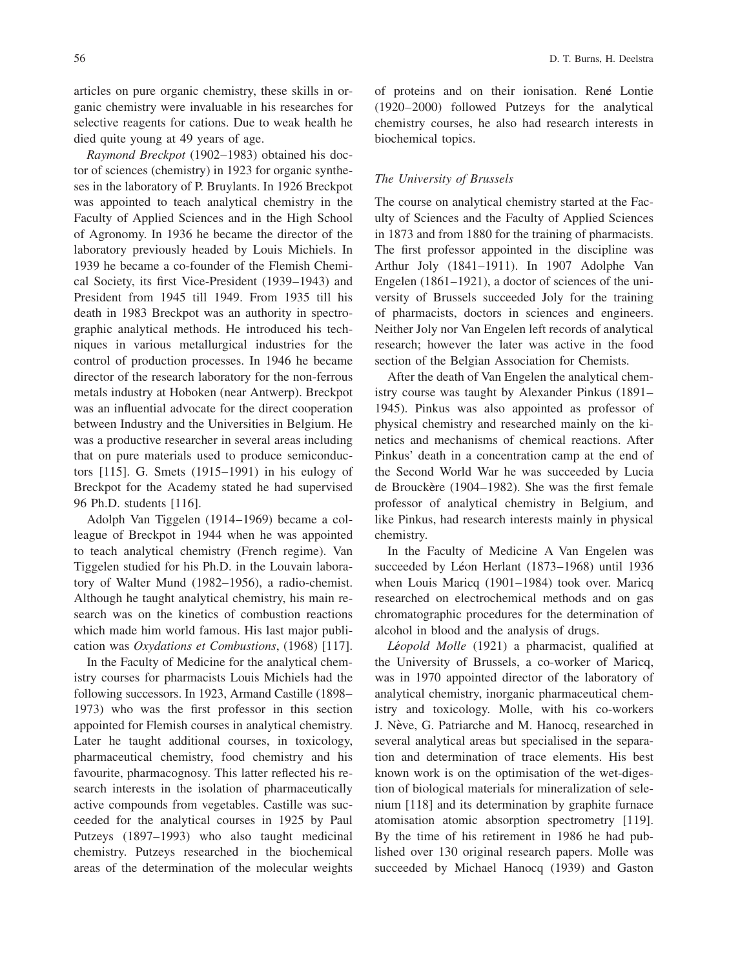articles on pure organic chemistry, these skills in organic chemistry were invaluable in his researches for selective reagents for cations. Due to weak health he died quite young at 49 years of age.

Raymond Breckpot (1902–1983) obtained his doctor of sciences (chemistry) in 1923 for organic syntheses in the laboratory of P. Bruylants. In 1926 Breckpot was appointed to teach analytical chemistry in the Faculty of Applied Sciences and in the High School of Agronomy. In 1936 he became the director of the laboratory previously headed by Louis Michiels. In 1939 he became a co-founder of the Flemish Chemical Society, its first Vice-President (1939–1943) and President from 1945 till 1949. From 1935 till his death in 1983 Breckpot was an authority in spectrographic analytical methods. He introduced his techniques in various metallurgical industries for the control of production processes. In 1946 he became director of the research laboratory for the non-ferrous metals industry at Hoboken (near Antwerp). Breckpot was an influential advocate for the direct cooperation between Industry and the Universities in Belgium. He was a productive researcher in several areas including that on pure materials used to produce semiconductors [115]. G. Smets (1915–1991) in his eulogy of Breckpot for the Academy stated he had supervised 96 Ph.D. students [116].

Adolph Van Tiggelen (1914–1969) became a colleague of Breckpot in 1944 when he was appointed to teach analytical chemistry (French regime). Van Tiggelen studied for his Ph.D. in the Louvain laboratory of Walter Mund (1982–1956), a radio-chemist. Although he taught analytical chemistry, his main research was on the kinetics of combustion reactions which made him world famous. His last major publication was Oxydations et Combustions, (1968) [117].

In the Faculty of Medicine for the analytical chemistry courses for pharmacists Louis Michiels had the following successors. In 1923, Armand Castille (1898– 1973) who was the first professor in this section appointed for Flemish courses in analytical chemistry. Later he taught additional courses, in toxicology, pharmaceutical chemistry, food chemistry and his favourite, pharmacognosy. This latter reflected his research interests in the isolation of pharmaceutically active compounds from vegetables. Castille was succeeded for the analytical courses in 1925 by Paul Putzeys (1897–1993) who also taught medicinal chemistry. Putzeys researched in the biochemical areas of the determination of the molecular weights

of proteins and on their ionisation. René Lontie (1920–2000) followed Putzeys for the analytical chemistry courses, he also had research interests in biochemical topics.

#### The University of Brussels

The course on analytical chemistry started at the Faculty of Sciences and the Faculty of Applied Sciences in 1873 and from 1880 for the training of pharmacists. The first professor appointed in the discipline was Arthur Joly (1841–1911). In 1907 Adolphe Van Engelen (1861–1921), a doctor of sciences of the university of Brussels succeeded Joly for the training of pharmacists, doctors in sciences and engineers. Neither Joly nor Van Engelen left records of analytical research; however the later was active in the food section of the Belgian Association for Chemists.

After the death of Van Engelen the analytical chemistry course was taught by Alexander Pinkus (1891– 1945). Pinkus was also appointed as professor of physical chemistry and researched mainly on the kinetics and mechanisms of chemical reactions. After Pinkus' death in a concentration camp at the end of the Second World War he was succeeded by Lucia de Brouckère (1904–1982). She was the first female professor of analytical chemistry in Belgium, and like Pinkus, had research interests mainly in physical chemistry.

In the Faculty of Medicine A Van Engelen was succeeded by Léon Herlant (1873-1968) until 1936 when Louis Maricq (1901–1984) took over. Maricq researched on electrochemical methods and on gas chromatographic procedures for the determination of alcohol in blood and the analysis of drugs.

Léopold Molle (1921) a pharmacist, qualified at the University of Brussels, a co-worker of Maricq, was in 1970 appointed director of the laboratory of analytical chemistry, inorganic pharmaceutical chemistry and toxicology. Molle, with his co-workers J. Nève, G. Patriarche and M. Hanocq, researched in several analytical areas but specialised in the separation and determination of trace elements. His best known work is on the optimisation of the wet-digestion of biological materials for mineralization of selenium [118] and its determination by graphite furnace atomisation atomic absorption spectrometry [119]. By the time of his retirement in 1986 he had published over 130 original research papers. Molle was succeeded by Michael Hanocq (1939) and Gaston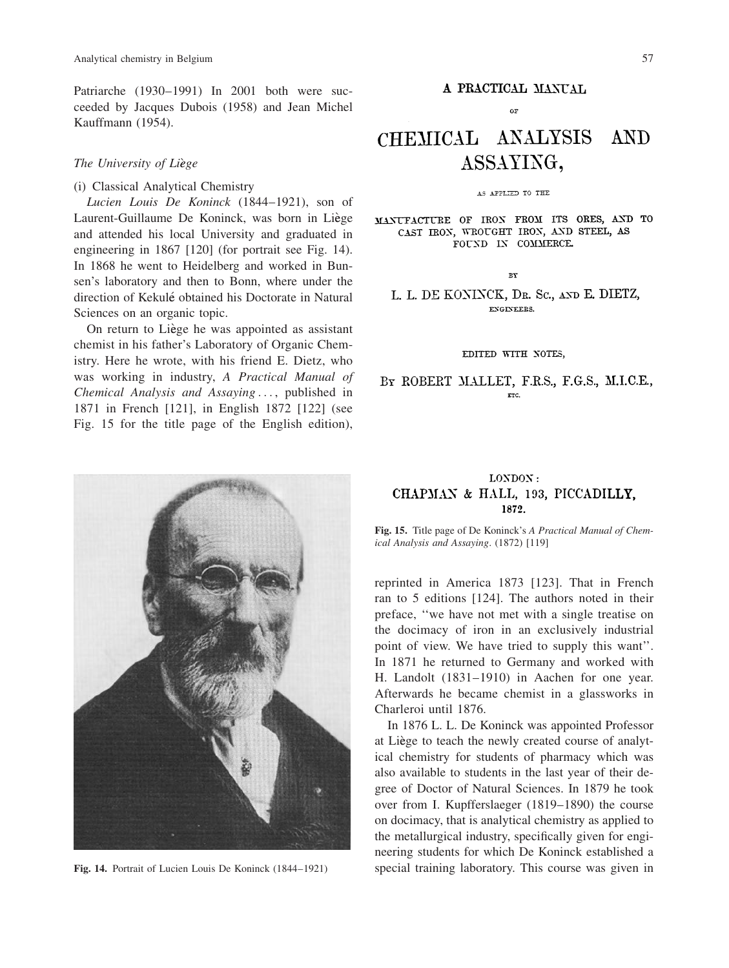Patriarche (1930–1991) In 2001 both were succeeded by Jacques Dubois (1958) and Jean Michel Kauffmann (1954).

#### The University of Liege

#### (i) Classical Analytical Chemistry

Lucien Louis De Koninck (1844–1921), son of Laurent-Guillaume De Koninck, was born in Liege and attended his local University and graduated in engineering in 1867 [120] (for portrait see Fig. 14). In 1868 he went to Heidelberg and worked in Bunsen's laboratory and then to Bonn, where under the direction of Kekulé obtained his Doctorate in Natural Sciences on an organic topic.

On return to Liege he was appointed as assistant chemist in his father's Laboratory of Organic Chemistry. Here he wrote, with his friend E. Dietz, who was working in industry, A Practical Manual of Chemical Analysis and Assaying ..., published in 1871 in French [121], in English 1872 [122] (see Fig. 15 for the title page of the English edition),



Fig. 14. Portrait of Lucien Louis De Koninck (1844–1921)

#### A PRACTICAL MANUAL

٥P

### CHEMICAL ANALYSIS **AND** ASSAYING,

#### AS APPLIED TO THE

MANUFACTURE OF IRON FROM ITS ORES, AND TO CAST IRON, WROUGHT IRON, AND STEEL, AS FOUND IN COMMERCE.

<sub>BY</sub>

L. L. DE KONINCK, DR. Sc., AND E. DIETZ, ENGINEERS.

#### EDITED WITH NOTES,

# BY ROBERT MALLET, F.R.S., F.G.S., M.I.C.E.,

#### LONDON: CHAPMAN & HALL, 193, PICCADILLY, 1872.

Fig. 15. Title page of De Koninck's A Practical Manual of Chemical Analysis and Assaying. (1872) [119]

reprinted in America 1873 [123]. That in French ran to 5 editions [124]. The authors noted in their preface, ''we have not met with a single treatise on the docimacy of iron in an exclusively industrial point of view. We have tried to supply this want''. In 1871 he returned to Germany and worked with H. Landolt (1831–1910) in Aachen for one year. Afterwards he became chemist in a glassworks in Charleroi until 1876.

In 1876 L. L. De Koninck was appointed Professor at Liège to teach the newly created course of analytical chemistry for students of pharmacy which was also available to students in the last year of their degree of Doctor of Natural Sciences. In 1879 he took over from I. Kupfferslaeger (1819–1890) the course on docimacy, that is analytical chemistry as applied to the metallurgical industry, specifically given for engineering students for which De Koninck established a special training laboratory. This course was given in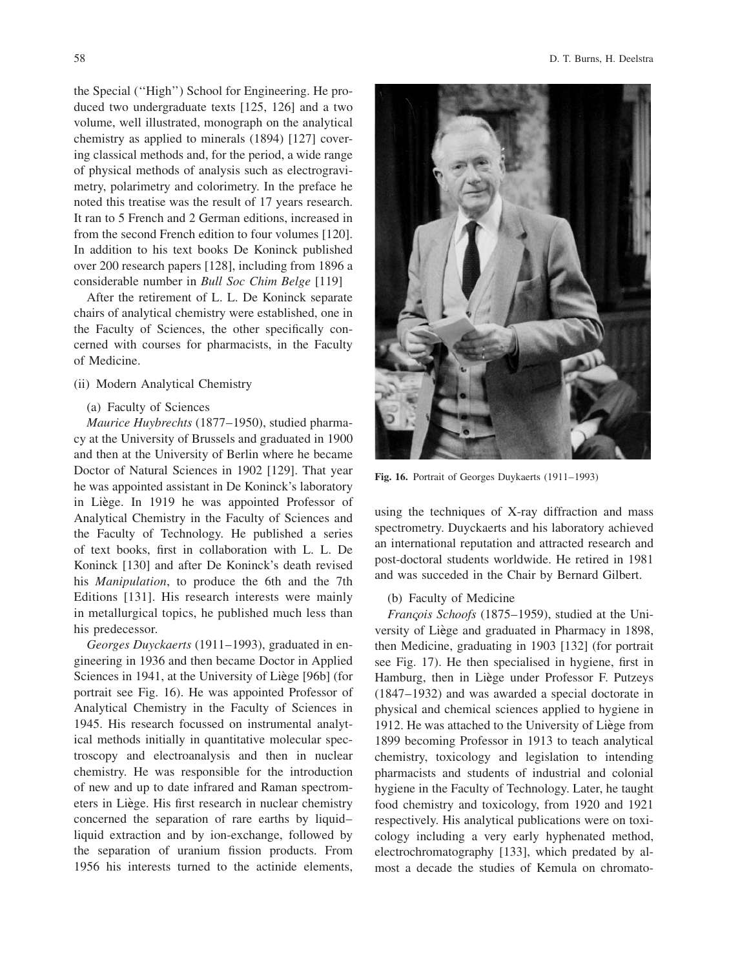the Special (''High'') School for Engineering. He produced two undergraduate texts [125, 126] and a two volume, well illustrated, monograph on the analytical chemistry as applied to minerals (1894) [127] covering classical methods and, for the period, a wide range of physical methods of analysis such as electrogravimetry, polarimetry and colorimetry. In the preface he noted this treatise was the result of 17 years research. It ran to 5 French and 2 German editions, increased in from the second French edition to four volumes [120]. In addition to his text books De Koninck published over 200 research papers [128], including from 1896 a considerable number in Bull Soc Chim Belge [119]

After the retirement of L. L. De Koninck separate chairs of analytical chemistry were established, one in the Faculty of Sciences, the other specifically concerned with courses for pharmacists, in the Faculty of Medicine.

#### (ii) Modern Analytical Chemistry

(a) Faculty of Sciences

Maurice Huybrechts (1877–1950), studied pharmacy at the University of Brussels and graduated in 1900 and then at the University of Berlin where he became Doctor of Natural Sciences in 1902 [129]. That year he was appointed assistant in De Koninck's laboratory in Liege. In 1919 he was appointed Professor of Analytical Chemistry in the Faculty of Sciences and the Faculty of Technology. He published a series of text books, first in collaboration with L. L. De Koninck [130] and after De Koninck's death revised his Manipulation, to produce the 6th and the 7th Editions [131]. His research interests were mainly in metallurgical topics, he published much less than his predecessor.

Georges Duyckaerts (1911–1993), graduated in engineering in 1936 and then became Doctor in Applied Sciences in 1941, at the University of Liège [96b] (for portrait see Fig. 16). He was appointed Professor of Analytical Chemistry in the Faculty of Sciences in 1945. His research focussed on instrumental analytical methods initially in quantitative molecular spectroscopy and electroanalysis and then in nuclear chemistry. He was responsible for the introduction of new and up to date infrared and Raman spectrometers in Liege. His first research in nuclear chemistry concerned the separation of rare earths by liquid– liquid extraction and by ion-exchange, followed by the separation of uranium fission products. From 1956 his interests turned to the actinide elements,



Fig. 16. Portrait of Georges Duykaerts (1911–1993)

using the techniques of X-ray diffraction and mass spectrometry. Duyckaerts and his laboratory achieved an international reputation and attracted research and post-doctoral students worldwide. He retired in 1981 and was succeded in the Chair by Bernard Gilbert.

#### (b) Faculty of Medicine

Francois Schoofs (1875–1959), studied at the University of Liege and graduated in Pharmacy in 1898, then Medicine, graduating in 1903 [132] (for portrait see Fig. 17). He then specialised in hygiene, first in Hamburg, then in Liège under Professor F. Putzeys (1847–1932) and was awarded a special doctorate in physical and chemical sciences applied to hygiene in 1912. He was attached to the University of Liege from 1899 becoming Professor in 1913 to teach analytical chemistry, toxicology and legislation to intending pharmacists and students of industrial and colonial hygiene in the Faculty of Technology. Later, he taught food chemistry and toxicology, from 1920 and 1921 respectively. His analytical publications were on toxicology including a very early hyphenated method, electrochromatography [133], which predated by almost a decade the studies of Kemula on chromato-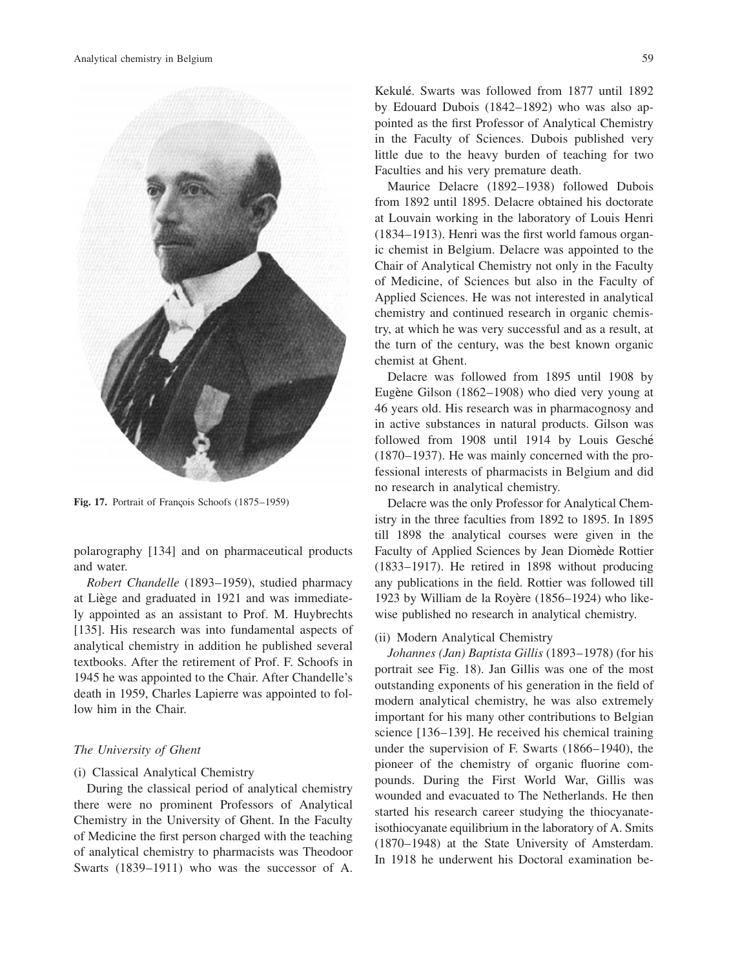

Fig. 17. Portrait of Francois Schoofs (1875–1959)

polarography [134] and on pharmaceutical products and water.

Robert Chandelle (1893–1959), studied pharmacy at Liege and graduated in 1921 and was immediately appointed as an assistant to Prof. M. Huybrechts [135]. His research was into fundamental aspects of analytical chemistry in addition he published several textbooks. After the retirement of Prof. F. Schoofs in 1945 he was appointed to the Chair. After Chandelle's death in 1959, Charles Lapierre was appointed to follow him in the Chair.

#### The University of Ghent

#### (i) Classical Analytical Chemistry

During the classical period of analytical chemistry there were no prominent Professors of Analytical Chemistry in the University of Ghent. In the Faculty of Medicine the first person charged with the teaching of analytical chemistry to pharmacists was Theodoor Swarts (1839–1911) who was the successor of A.

Kekulé. Swarts was followed from 1877 until 1892 by Edouard Dubois (1842–1892) who was also appointed as the first Professor of Analytical Chemistry in the Faculty of Sciences. Dubois published very little due to the heavy burden of teaching for two Faculties and his very premature death.

Maurice Delacre (1892–1938) followed Dubois from 1892 until 1895. Delacre obtained his doctorate at Louvain working in the laboratory of Louis Henri (1834–1913). Henri was the first world famous organic chemist in Belgium. Delacre was appointed to the Chair of Analytical Chemistry not only in the Faculty of Medicine, of Sciences but also in the Faculty of Applied Sciences. He was not interested in analytical chemistry and continued research in organic chemistry, at which he was very successful and as a result, at the turn of the century, was the best known organic chemist at Ghent.

Delacre was followed from 1895 until 1908 by Eugène Gilson (1862–1908) who died very young at 46 years old. His research was in pharmacognosy and in active substances in natural products. Gilson was followed from 1908 until 1914 by Louis Gesché (1870–1937). He was mainly concerned with the professional interests of pharmacists in Belgium and did no research in analytical chemistry.

Delacre was the only Professor for Analytical Chemistry in the three faculties from 1892 to 1895. In 1895 till 1898 the analytical courses were given in the Faculty of Applied Sciences by Jean Diomede Rottier (1833–1917). He retired in 1898 without producing any publications in the field. Rottier was followed till 1923 by William de la Royere (1856–1924) who likewise published no research in analytical chemistry.

#### (ii) Modern Analytical Chemistry

Johannes (Jan) Baptista Gillis (1893–1978) (for his portrait see Fig. 18). Jan Gillis was one of the most outstanding exponents of his generation in the field of modern analytical chemistry, he was also extremely important for his many other contributions to Belgian science [136–139]. He received his chemical training under the supervision of F. Swarts (1866–1940), the pioneer of the chemistry of organic fluorine compounds. During the First World War, Gillis was wounded and evacuated to The Netherlands. He then started his research career studying the thiocyanateisothiocyanate equilibrium in the laboratory of A. Smits (1870–1948) at the State University of Amsterdam. In 1918 he underwent his Doctoral examination be-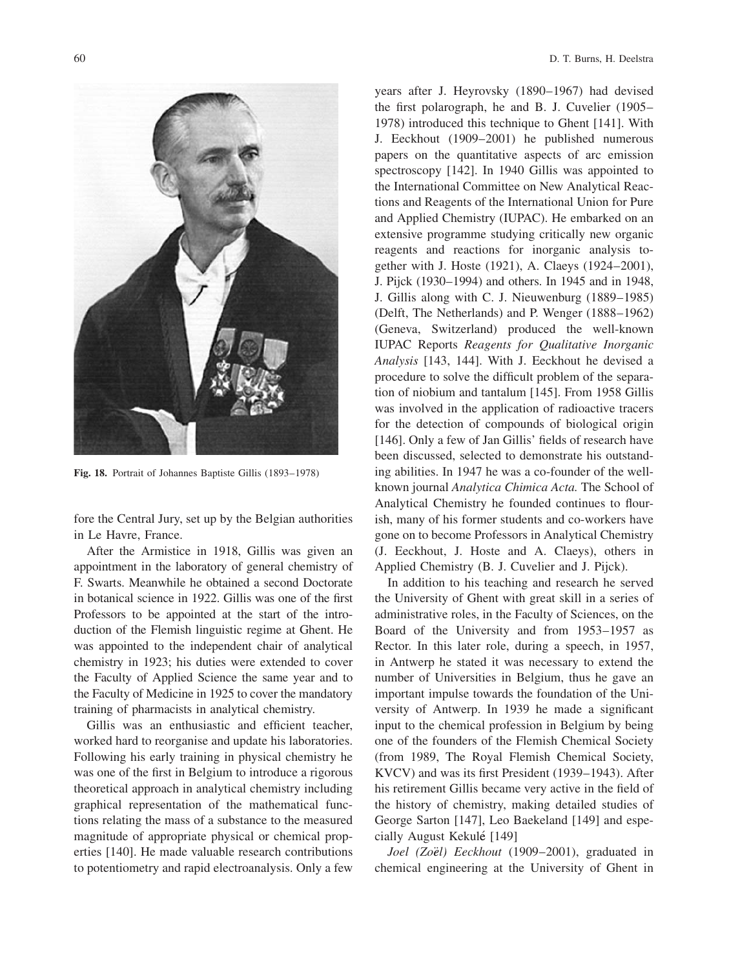

Fig. 18. Portrait of Johannes Baptiste Gillis (1893–1978)

fore the Central Jury, set up by the Belgian authorities in Le Havre, France.

After the Armistice in 1918, Gillis was given an appointment in the laboratory of general chemistry of F. Swarts. Meanwhile he obtained a second Doctorate in botanical science in 1922. Gillis was one of the first Professors to be appointed at the start of the introduction of the Flemish linguistic regime at Ghent. He was appointed to the independent chair of analytical chemistry in 1923; his duties were extended to cover the Faculty of Applied Science the same year and to the Faculty of Medicine in 1925 to cover the mandatory training of pharmacists in analytical chemistry.

Gillis was an enthusiastic and efficient teacher, worked hard to reorganise and update his laboratories. Following his early training in physical chemistry he was one of the first in Belgium to introduce a rigorous theoretical approach in analytical chemistry including graphical representation of the mathematical functions relating the mass of a substance to the measured magnitude of appropriate physical or chemical properties [140]. He made valuable research contributions to potentiometry and rapid electroanalysis. Only a few years after J. Heyrovsky (1890–1967) had devised the first polarograph, he and B. J. Cuvelier (1905– 1978) introduced this technique to Ghent [141]. With J. Eeckhout (1909–2001) he published numerous papers on the quantitative aspects of arc emission spectroscopy [142]. In 1940 Gillis was appointed to the International Committee on New Analytical Reactions and Reagents of the International Union for Pure and Applied Chemistry (IUPAC). He embarked on an extensive programme studying critically new organic reagents and reactions for inorganic analysis together with J. Hoste (1921), A. Claeys (1924–2001), J. Pijck (1930–1994) and others. In 1945 and in 1948, J. Gillis along with C. J. Nieuwenburg (1889–1985) (Delft, The Netherlands) and P. Wenger (1888–1962) (Geneva, Switzerland) produced the well-known IUPAC Reports Reagents for Qualitative Inorganic Analysis [143, 144]. With J. Eeckhout he devised a procedure to solve the difficult problem of the separation of niobium and tantalum [145]. From 1958 Gillis was involved in the application of radioactive tracers for the detection of compounds of biological origin [146]. Only a few of Jan Gillis' fields of research have been discussed, selected to demonstrate his outstanding abilities. In 1947 he was a co-founder of the wellknown journal Analytica Chimica Acta. The School of Analytical Chemistry he founded continues to flourish, many of his former students and co-workers have gone on to become Professors in Analytical Chemistry (J. Eeckhout, J. Hoste and A. Claeys), others in Applied Chemistry (B. J. Cuvelier and J. Pijck).

In addition to his teaching and research he served the University of Ghent with great skill in a series of administrative roles, in the Faculty of Sciences, on the Board of the University and from 1953–1957 as Rector. In this later role, during a speech, in 1957, in Antwerp he stated it was necessary to extend the number of Universities in Belgium, thus he gave an important impulse towards the foundation of the University of Antwerp. In 1939 he made a significant input to the chemical profession in Belgium by being one of the founders of the Flemish Chemical Society (from 1989, The Royal Flemish Chemical Society, KVCV) and was its first President (1939–1943). After his retirement Gillis became very active in the field of the history of chemistry, making detailed studies of George Sarton [147], Leo Baekeland [149] and especially August Kekulé [149]

Joel (Zoël) Eeckhout (1909–2001), graduated in chemical engineering at the University of Ghent in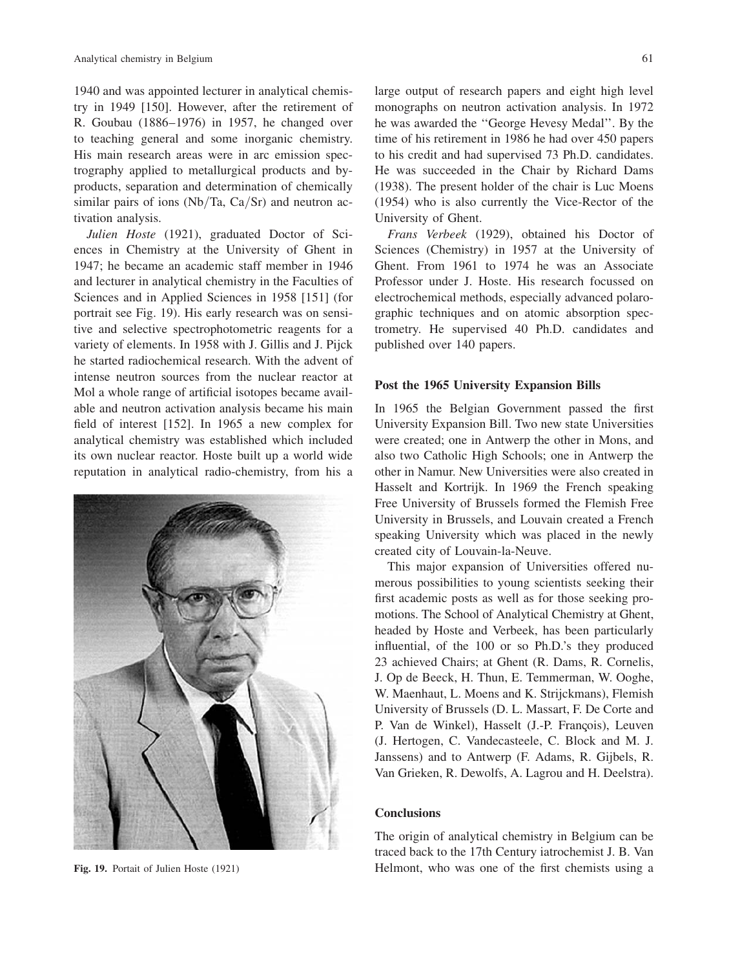1940 and was appointed lecturer in analytical chemistry in 1949 [150]. However, after the retirement of R. Goubau (1886–1976) in 1957, he changed over to teaching general and some inorganic chemistry. His main research areas were in arc emission spectrography applied to metallurgical products and byproducts, separation and determination of chemically similar pairs of ions  $(Nb/Ta, Ca/Sr)$  and neutron activation analysis.

Julien Hoste (1921), graduated Doctor of Sciences in Chemistry at the University of Ghent in 1947; he became an academic staff member in 1946 and lecturer in analytical chemistry in the Faculties of Sciences and in Applied Sciences in 1958 [151] (for portrait see Fig. 19). His early research was on sensitive and selective spectrophotometric reagents for a variety of elements. In 1958 with J. Gillis and J. Pijck he started radiochemical research. With the advent of intense neutron sources from the nuclear reactor at Mol a whole range of artificial isotopes became available and neutron activation analysis became his main field of interest [152]. In 1965 a new complex for analytical chemistry was established which included its own nuclear reactor. Hoste built up a world wide reputation in analytical radio-chemistry, from his a



large output of research papers and eight high level monographs on neutron activation analysis. In 1972 he was awarded the ''George Hevesy Medal''. By the time of his retirement in 1986 he had over 450 papers to his credit and had supervised 73 Ph.D. candidates. He was succeeded in the Chair by Richard Dams (1938). The present holder of the chair is Luc Moens (1954) who is also currently the Vice-Rector of the University of Ghent.

Frans Verbeek (1929), obtained his Doctor of Sciences (Chemistry) in 1957 at the University of Ghent. From 1961 to 1974 he was an Associate Professor under J. Hoste. His research focussed on electrochemical methods, especially advanced polarographic techniques and on atomic absorption spectrometry. He supervised 40 Ph.D. candidates and published over 140 papers.

#### Post the 1965 University Expansion Bills

In 1965 the Belgian Government passed the first University Expansion Bill. Two new state Universities were created; one in Antwerp the other in Mons, and also two Catholic High Schools; one in Antwerp the other in Namur. New Universities were also created in Hasselt and Kortrijk. In 1969 the French speaking Free University of Brussels formed the Flemish Free University in Brussels, and Louvain created a French speaking University which was placed in the newly created city of Louvain-la-Neuve.

This major expansion of Universities offered numerous possibilities to young scientists seeking their first academic posts as well as for those seeking promotions. The School of Analytical Chemistry at Ghent, headed by Hoste and Verbeek, has been particularly influential, of the 100 or so Ph.D.'s they produced 23 achieved Chairs; at Ghent (R. Dams, R. Cornelis, J. Op de Beeck, H. Thun, E. Temmerman, W. Ooghe, W. Maenhaut, L. Moens and K. Strijckmans), Flemish University of Brussels (D. L. Massart, F. De Corte and P. Van de Winkel), Hasselt (J.-P. Francois), Leuven (J. Hertogen, C. Vandecasteele, C. Block and M. J. Janssens) and to Antwerp (F. Adams, R. Gijbels, R. Van Grieken, R. Dewolfs, A. Lagrou and H. Deelstra).

#### **Conclusions**

The origin of analytical chemistry in Belgium can be traced back to the 17th Century iatrochemist J. B. Van Fig. 19. Portait of Julien Hoste (1921) Helmont, who was one of the first chemists using a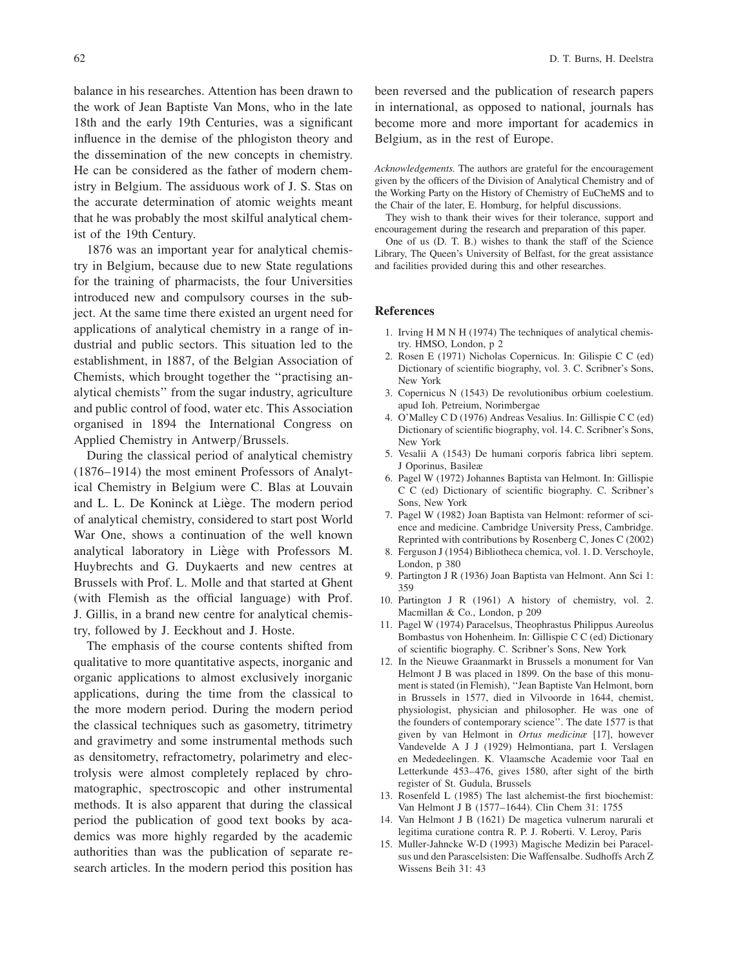balance in his researches. Attention has been drawn to the work of Jean Baptiste Van Mons, who in the late 18th and the early 19th Centuries, was a significant influence in the demise of the phlogiston theory and the dissemination of the new concepts in chemistry. He can be considered as the father of modern chemistry in Belgium. The assiduous work of J. S. Stas on the accurate determination of atomic weights meant that he was probably the most skilful analytical chemist of the 19th Century.

1876 was an important year for analytical chemistry in Belgium, because due to new State regulations for the training of pharmacists, the four Universities introduced new and compulsory courses in the subject. At the same time there existed an urgent need for applications of analytical chemistry in a range of industrial and public sectors. This situation led to the establishment, in 1887, of the Belgian Association of Chemists, which brought together the ''practising analytical chemists'' from the sugar industry, agriculture and public control of food, water etc. This Association organised in 1894 the International Congress on Applied Chemistry in Antwerp/Brussels.

During the classical period of analytical chemistry (1876–1914) the most eminent Professors of Analytical Chemistry in Belgium were C. Blas at Louvain and L. L. De Koninck at Liege. The modern period of analytical chemistry, considered to start post World War One, shows a continuation of the well known analytical laboratory in Liege with Professors M. Huybrechts and G. Duykaerts and new centres at Brussels with Prof. L. Molle and that started at Ghent (with Flemish as the official language) with Prof. J. Gillis, in a brand new centre for analytical chemistry, followed by J. Eeckhout and J. Hoste.

The emphasis of the course contents shifted from qualitative to more quantitative aspects, inorganic and organic applications to almost exclusively inorganic applications, during the time from the classical to the more modern period. During the modern period the classical techniques such as gasometry, titrimetry and gravimetry and some instrumental methods such as densitometry, refractometry, polarimetry and electrolysis were almost completely replaced by chromatographic, spectroscopic and other instrumental methods. It is also apparent that during the classical period the publication of good text books by academics was more highly regarded by the academic authorities than was the publication of separate research articles. In the modern period this position has been reversed and the publication of research papers in international, as opposed to national, journals has become more and more important for academics in Belgium, as in the rest of Europe.

Acknowledgements. The authors are grateful for the encouragement given by the officers of the Division of Analytical Chemistry and of the Working Party on the History of Chemistry of EuCheMS and to the Chair of the later, E. Homburg, for helpful discussions.

They wish to thank their wives for their tolerance, support and encouragement during the research and preparation of this paper.

One of us (D. T. B.) wishes to thank the staff of the Science Library, The Queen's University of Belfast, for the great assistance and facilities provided during this and other researches.

#### References

- 1. Irving H M N H (1974) The techniques of analytical chemistry. HMSO, London, p 2
- 2. Rosen E (1971) Nicholas Copernicus. In: Gilispie C C (ed) Dictionary of scientific biography, vol. 3. C. Scribner's Sons, New York
- 3. Copernicus N (1543) De revolutionibus orbium coelestium. apud Ioh. Petreium, Norimbergae
- 4. O'Malley C D (1976) Andreas Vesalius. In: Gillispie C C (ed) Dictionary of scientific biography, vol. 14. C. Scribner's Sons, New York
- 5. Vesalii A (1543) De humani corporis fabrica libri septem. J Oporinus, Basileæ
- 6. Pagel W (1972) Johannes Baptista van Helmont. In: Gillispie C C (ed) Dictionary of scientific biography. C. Scribner's Sons, New York
- 7. Pagel W (1982) Joan Baptista van Helmont: reformer of science and medicine. Cambridge University Press, Cambridge. Reprinted with contributions by Rosenberg C, Jones C (2002)
- 8. Ferguson J (1954) Bibliotheca chemica, vol. 1. D. Verschoyle, London, p 380
- 9. Partington J R (1936) Joan Baptista van Helmont. Ann Sci 1: 359
- 10. Partington J R (1961) A history of chemistry, vol. 2. Macmillan & Co., London, p 209
- 11. Pagel W (1974) Paracelsus, Theophrastus Philippus Aureolus Bombastus von Hohenheim. In: Gillispie C C (ed) Dictionary of scientific biography. C. Scribner's Sons, New York
- 12. In the Nieuwe Graanmarkt in Brussels a monument for Van Helmont J B was placed in 1899. On the base of this monument is stated (in Flemish), ''Jean Baptiste Van Helmont, born in Brussels in 1577, died in Vilvoorde in 1644, chemist, physiologist, physician and philosopher. He was one of the founders of contemporary science''. The date 1577 is that given by van Helmont in Ortus medicinæ [17], however Vandevelde A J J (1929) Helmontiana, part I. Verslagen en Mededeelingen. K. Vlaamsche Academie voor Taal en Letterkunde 453–476, gives 1580, after sight of the birth register of St. Gudula, Brussels
- 13. Rosenfeld L (1985) The last alchemist-the first biochemist: Van Helmont J B (1577–1644). Clin Chem 31: 1755
- 14. Van Helmont J B (1621) De magetica vulnerum narurali et legitima curatione contra R. P. J. Roberti. V. Leroy, Paris
- 15. Muller-Jahncke W-D (1993) Magische Medizin bei Paracelsus und den Parascelsisten: Die Waffensalbe. Sudhoffs Arch Z Wissens Beih 31: 43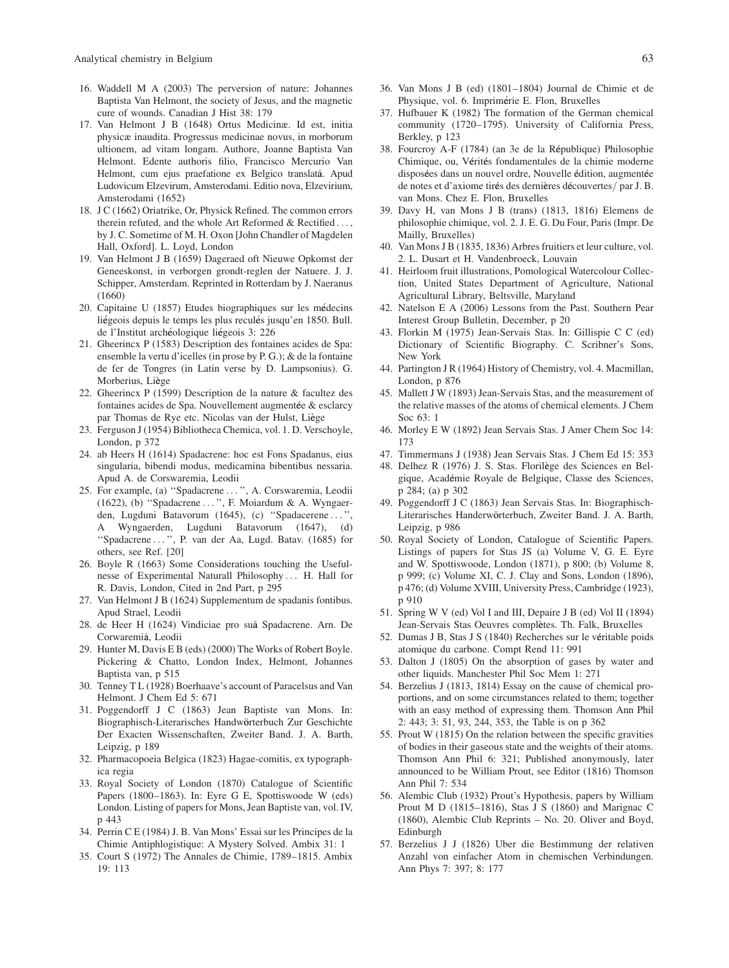- 16. Waddell M A (2003) The perversion of nature: Johannes Baptista Van Helmont, the society of Jesus, and the magnetic cure of wounds. Canadian J Hist 38: 179
- 17. Van Helmont J B (1648) Ortus Medicinæ. Id est, initia physicæ inaudita. Progressus medicinae novus, in morborum ultionem, ad vitam longam. Authore, Joanne Baptista Van Helmont. Edente authoris filio, Francisco Mercurio Van Helmont, cum ejus praefatione ex Belgico translat^a. Apud Ludovicum Elzevirum, Amsterodami. Editio nova, Elzevirium, Amsterodami (1652)
- 18. J C (1662) Oriatrike, Or, Physick Refined. The common errors therein refuted, and the whole Art Reformed & Rectified ... , by J. C. Sometime of M. H. Oxon [John Chandler of Magdelen Hall, Oxford]. L. Loyd, London
- 19. Van Helmont J B (1659) Dageraed oft Nieuwe Opkomst der Geneeskonst, in verborgen grondt-reglen der Natuere. J. J. Schipper, Amsterdam. Reprinted in Rotterdam by J. Naeranus (1660)
- 20. Capitaine U (1857) Etudes biographiques sur les médecins liégeois depuis le temps les plus reculés jusqu'en 1850. Bull. de l'Institut archéologique liégeois 3: 226
- 21. Gheerincx P (1583) Description des fontaines acides de Spa: ensemble la vertu d'icelles (in prose by P. G.); & de la fontaine de fer de Tongres (in Latin verse by D. Lampsonius). G. Morberius, Liège
- 22. Gheerincx P (1599) Description de la nature & facultez des fontaines acides de Spa. Nouvellement augmentée & esclarcy par Thomas de Rye etc. Nicolas van der Hulst, Liege
- 23. Ferguson J (1954) Bibliotheca Chemica, vol. 1. D. Verschoyle, London, p 372
- 24. ab Heers H (1614) Spadacrene: hoc est Fons Spadanus, eius singularia, bibendi modus, medicamina bibentibus nessaria. Apud A. de Corswaremia, Leodii
- 25. For example, (a) ''Spadacrene ...'', A. Corswaremia, Leodii (1622), (b) ''Spadacrene ...'', F. Moiardum & A. Wyngaerden, Lugduni Batavorum (1645), (c) "Spadacerene ..." A Wyngaerden, Lugduni Batavorum (1647), (d) ''Spadacrene ... '', P. van der Aa, Lugd. Batav. (1685) for others, see Ref. [20]
- 26. Boyle R (1663) Some Considerations touching the Usefulnesse of Experimental Naturall Philosophy ... H. Hall for R. Davis, London, Cited in 2nd Part, p 295
- 27. Van Helmont J B (1624) Supplementum de spadanis fontibus. Apud Strael, Leodii
- 28. de Heer H (1624) Vindiciae pro su^a Spadacrene. Arn. De Corwaremi^a, Leodii
- 29. Hunter M, Davis E B (eds) (2000) The Works of Robert Boyle. Pickering & Chatto, London Index, Helmont, Johannes Baptista van, p 515
- 30. Tenney T L (1928) Boerhaave's account of Paracelsus and Van Helmont. J Chem Ed 5: 671
- 31. Poggendorff J C (1863) Jean Baptiste van Mons. In: Biographisch-Literarisches Handwörterbuch Zur Geschichte Der Exacten Wissenschaften, Zweiter Band. J. A. Barth, Leipzig, p 189
- 32. Pharmacopoeia Belgica (1823) Hagae-comitis, ex typographica regia
- 33. Royal Society of London (1870) Catalogue of Scientific Papers (1800–1863). In: Eyre G E, Spottiswoode W (eds) London. Listing of papers for Mons, Jean Baptiste van, vol. IV, p 443
- 34. Perrin C E (1984) J. B. Van Mons' Essai sur les Principes de la Chimie Antiphlogistique: A Mystery Solved. Ambix 31: 1
- 35. Court S (1972) The Annales de Chimie, 1789–1815. Ambix 19: 113
- 36. Van Mons J B (ed) (1801–1804) Journal de Chimie et de Physique, vol. 6. Imprimérie E. Flon, Bruxelles
- 37. Hufbauer K (1982) The formation of the German chemical community (1720–1795). University of California Press, Berkley, p 123
- 38. Fourcroy A-F (1784) (an 3e de la République) Philosophie Chimique, ou, Vérités fondamentales de la chimie moderne disposées dans un nouvel ordre, Nouvelle édition, augmentée de notes et d'axiome tirés des dernières découvertes/ par J. B. van Mons. Chez E. Flon, Bruxelles
- 39. Davy H, van Mons J B (trans) (1813, 1816) Elemens de philosophie chimique, vol. 2. J. E. G. Du Four, Paris (Impr. De Mailly, Bruxelles)
- 40. Van Mons J B (1835, 1836) Arbres fruitiers et leur culture, vol. 2. L. Dusart et H. Vandenbroeck, Louvain
- 41. Heirloom fruit illustrations, Pomological Watercolour Collection, United States Department of Agriculture, National Agricultural Library, Beltsville, Maryland
- 42. Natelson E A (2006) Lessons from the Past. Southern Pear Interest Group Bulletin, December, p 20
- 43. Florkin M (1975) Jean-Servais Stas. In: Gillispie C C (ed) Dictionary of Scientific Biography. C. Scribner's Sons, New York
- 44. Partington J R (1964) History of Chemistry, vol. 4. Macmillan, London, p 876
- 45. Mallett J W (1893) Jean-Servais Stas, and the measurement of the relative masses of the atoms of chemical elements. J Chem Soc 63: 1
- 46. Morley E W (1892) Jean Servais Stas. J Amer Chem Soc 14: 173
- 47. Timmermans J (1938) Jean Servais Stas. J Chem Ed 15: 353
- 48. Delhez R (1976) J. S. Stas. Florilege des Sciences en Belgique, Académie Royale de Belgique, Classe des Sciences, p 284; (a) p 302
- 49. Poggendorff J C (1863) Jean Servais Stas. In: Biographisch-Literarisches Handerwörterbuch, Zweiter Band. J. A. Barth, Leipzig, p 986
- 50. Royal Society of London, Catalogue of Scientific Papers. Listings of papers for Stas JS (a) Volume V, G. E. Eyre and W. Spottiswoode, London (1871), p 800; (b) Volume 8, p 999; (c) Volume XI, C. J. Clay and Sons, London (1896), p 476; (d) Volume XVIII, University Press, Cambridge (1923), p 910
- 51. Spring W V (ed) Vol I and III, Depaire J B (ed) Vol II (1894) Jean-Servais Stas Oeuvres completes. Th. Falk, Bruxelles
- 52. Dumas J B, Stas J S (1840) Recherches sur le véritable poids atomique du carbone. Compt Rend 11: 991
- 53. Dalton J (1805) On the absorption of gases by water and other liquids. Manchester Phil Soc Mem 1: 271
- 54. Berzelius J (1813, 1814) Essay on the cause of chemical proportions, and on some circumstances related to them; together with an easy method of expressing them. Thomson Ann Phil 2: 443; 3: 51, 93, 244, 353, the Table is on p 362
- 55. Prout W (1815) On the relation between the specific gravities of bodies in their gaseous state and the weights of their atoms. Thomson Ann Phil 6: 321; Published anonymously, later announced to be William Prout, see Editor (1816) Thomson Ann Phil 7: 534
- 56. Alembic Club (1932) Prout's Hypothesis, papers by William Prout M D (1815–1816), Stas J S (1860) and Marignac C (1860), Alembic Club Reprints – No. 20. Oliver and Boyd, Edinburgh
- 57. Berzelius J J (1826) Uber die Bestimmung der relativen Anzahl von einfacher Atom in chemischen Verbindungen. Ann Phys 7: 397; 8: 177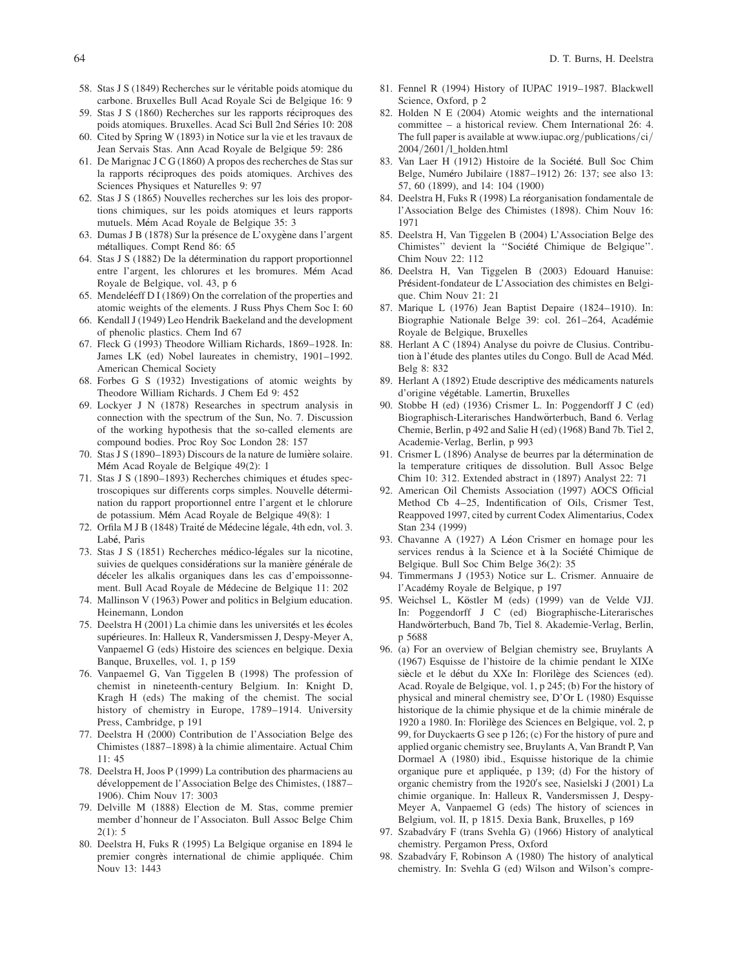- 58. Stas J S (1849) Recherches sur le véritable poids atomique du carbone. Bruxelles Bull Acad Royale Sci de Belgique 16: 9
- 59. Stas J S (1860) Recherches sur les rapports réciproques des poids atomiques. Bruxelles. Acad Sci Bull 2nd Séries 10: 208
- 60. Cited by Spring W (1893) in Notice sur la vie et les travaux de Jean Servais Stas. Ann Acad Royale de Belgique 59: 286
- 61. De Marignac J C G (1860) A propos des recherches de Stas sur la rapports réciproques des poids atomiques. Archives des Sciences Physiques et Naturelles 9: 97
- 62. Stas J S (1865) Nouvelles recherches sur les lois des proportions chimiques, sur les poids atomiques et leurs rapports mutuels. Mém Acad Royale de Belgique 35: 3
- 63. Dumas J B (1878) Sur la présence de L'oxygène dans l'argent métalliques. Compt Rend 86: 65
- 64. Stas J S (1882) De la détermination du rapport proportionnel entre l'argent, les chlorures et les bromures. Mém Acad Royale de Belgique, vol. 43, p 6
- 65. Mendeléeff D I (1869) On the correlation of the properties and atomic weights of the elements. J Russ Phys Chem Soc I: 60
- 66. Kendall J (1949) Leo Hendrik Baekeland and the development of phenolic plastics. Chem Ind 67
- 67. Fleck G (1993) Theodore William Richards, 1869–1928. In: James LK (ed) Nobel laureates in chemistry, 1901–1992. American Chemical Society
- 68. Forbes G S (1932) Investigations of atomic weights by Theodore William Richards. J Chem Ed 9: 452
- 69. Lockyer J N (1878) Researches in spectrum analysis in connection with the spectrum of the Sun, No. 7. Discussion of the working hypothesis that the so-called elements are compound bodies. Proc Roy Soc London 28: 157
- 70. Stas J S (1890–1893) Discours de la nature de lumiere solaire. Mém Acad Royale de Belgique 49(2): 1
- 71. Stas J S (1890-1893) Recherches chimiques et études spectroscopiques sur differents corps simples. Nouvelle détermination du rapport proportionnel entre l'argent et le chlorure de potassium. Mém Acad Royale de Belgique 49(8): 1
- 72. Orfila M J B (1848) Traité de Médecine légale, 4th edn, vol. 3. Labé, Paris
- 73. Stas J S (1851) Recherches médico-légales sur la nicotine, suivies de quelques considérations sur la manière générale de déceler les alkalis organiques dans les cas d'empoissonnement. Bull Acad Royale de Médecine de Belgique 11: 202
- 74. Mallinson V (1963) Power and politics in Belgium education. Heinemann, London
- 75. Deelstra H (2001) La chimie dans les universités et les écoles supérieures. In: Halleux R, Vandersmissen J, Despy-Meyer A, Vanpaemel G (eds) Histoire des sciences en belgique. Dexia Banque, Bruxelles, vol. 1, p 159
- 76. Vanpaemel G, Van Tiggelen B (1998) The profession of chemist in nineteenth-century Belgium. In: Knight D, Kragh H (eds) The making of the chemist. The social history of chemistry in Europe, 1789–1914. University Press, Cambridge, p 191
- 77. Deelstra H (2000) Contribution de l'Association Belge des Chimistes (1887–1898) a la chimie alimentaire. Actual Chim 11: 45
- 78. Deelstra H, Joos P (1999) La contribution des pharmaciens au développement de l'Association Belge des Chimistes, (1887-1906). Chim Nouv 17: 3003
- 79. Delville M (1888) Election de M. Stas, comme premier member d'honneur de l'Associaton. Bull Assoc Belge Chim  $2(1): 5$
- 80. Deelstra H, Fuks R (1995) La Belgique organise en 1894 le premier congrès international de chimie appliquée. Chim Nouv 13: 1443
- 81. Fennel R (1994) History of IUPAC 1919–1987. Blackwell Science, Oxford, p 2
- 82. Holden N E (2004) Atomic weights and the international committee – a historical review. Chem International 26: 4. The full paper is available at www.iupac.org/publications/ci/ 2004/2601/1 holden.html
- 83. Van Laer H (1912) Histoire de la Société. Bull Soc Chim Belge, Numéro Jubilaire (1887–1912) 26: 137; see also 13: 57, 60 (1899), and 14: 104 (1900)
- 84. Deelstra H, Fuks R (1998) La réorganisation fondamentale de l'Association Belge des Chimistes (1898). Chim Nouv 16: 1971
- 85. Deelstra H, Van Tiggelen B (2004) L'Association Belge des Chimistes" devient la "Société Chimique de Belgique". Chim Nouv 22: 112
- 86. Deelstra H, Van Tiggelen B (2003) Edouard Hanuise: Président-fondateur de L'Association des chimistes en Belgique. Chim Nouv 21: 21
- 87. Marique L (1976) Jean Baptist Depaire (1824–1910). In: Biographie Nationale Belge 39: col. 261-264, Académie Royale de Belgique, Bruxelles
- 88. Herlant A C (1894) Analyse du poivre de Clusius. Contribution à l'étude des plantes utiles du Congo. Bull de Acad Méd. Belg 8: 832
- 89. Herlant A (1892) Etude descriptive des médicaments naturels d'origine végétable. Lamertin, Bruxelles
- 90. Stobbe H (ed) (1936) Crismer L. In: Poggendorff J C (ed) Biographisch-Literarisches Handwörterbuch, Band 6. Verlag Chemie, Berlin, p 492 and Salie H (ed) (1968) Band 7b. Tiel 2, Academie-Verlag, Berlin, p 993
- 91. Crismer L (1896) Analyse de beurres par la détermination de la temperature critiques de dissolution. Bull Assoc Belge Chim 10: 312. Extended abstract in (1897) Analyst 22: 71
- 92. American Oil Chemists Association (1997) AOCS Official Method Cb 4–25, Indentification of Oils, Crismer Test, Reappoved 1997, cited by current Codex Alimentarius, Codex Stan 234 (1999)
- 93. Chavanne A (1927) A Léon Crismer en homage pour les services rendus à la Science et à la Société Chimique de Belgique. Bull Soc Chim Belge 36(2): 35
- 94. Timmermans J (1953) Notice sur L. Crismer. Annuaire de l'Académy Royale de Belgique, p 197
- 95. Weichsel L, Köstler M (eds) (1999) van de Velde VJJ. In: Poggendorff J C (ed) Biographische-Literarisches Handwörterbuch, Band 7b, Tiel 8. Akademie-Verlag, Berlin, p 5688
- 96. (a) For an overview of Belgian chemistry see, Bruylants A (1967) Esquisse de l'histoire de la chimie pendant le XIXe siècle et le début du XXe In: Florilège des Sciences (ed). Acad. Royale de Belgique, vol. 1, p 245; (b) For the history of physical and mineral chemistry see, D'Or L (1980) Esquisse historique de la chimie physique et de la chimie minérale de 1920 a 1980. In: Florilege des Sciences en Belgique, vol. 2, p 99, for Duyckaerts G see p 126; (c) For the history of pure and applied organic chemistry see, Bruylants A, Van Brandt P, Van Dormael A (1980) ibid., Esquisse historique de la chimie organique pure et appliquée, p 139; (d) For the history of organic chemistry from the 1920's see, Nasielski J (2001) La chimie organique. In: Halleux R, Vandersmissen J, Despy-Meyer A, Vanpaemel G (eds) The history of sciences in Belgium, vol. II, p 1815. Dexia Bank, Bruxelles, p 169
- 97. Szabadváry F (trans Svehla G) (1966) History of analytical chemistry. Pergamon Press, Oxford
- 98. Szabadváry F, Robinson A (1980) The history of analytical chemistry. In: Svehla G (ed) Wilson and Wilson's compre-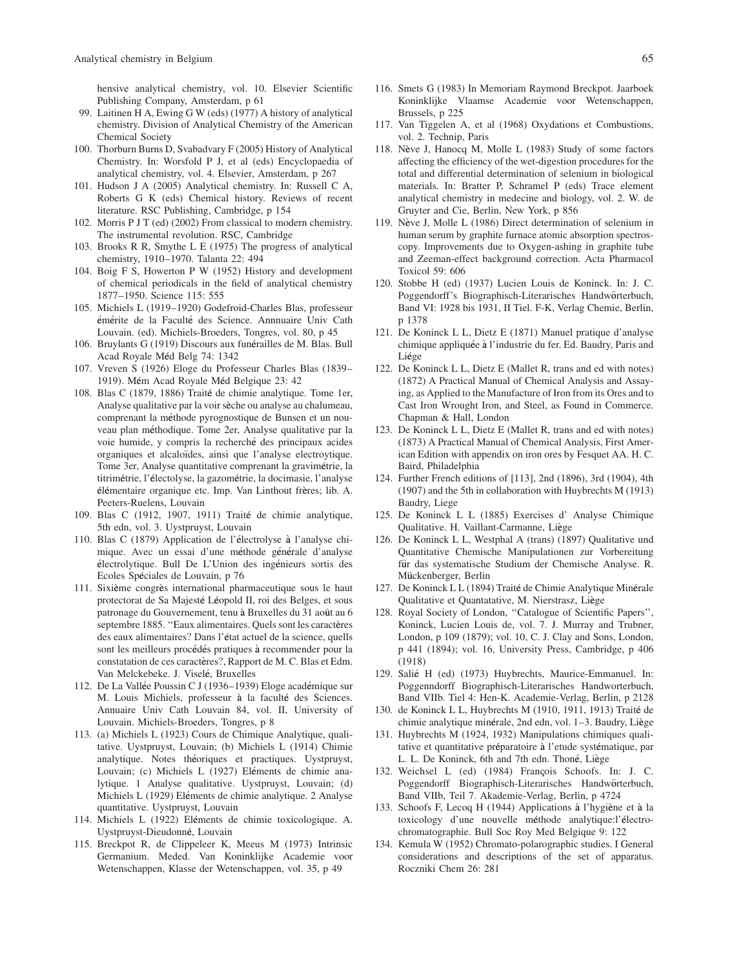hensive analytical chemistry, vol. 10. Elsevier Scientific Publishing Company, Amsterdam, p 61

- 99. Laitinen H A, Ewing G W (eds) (1977) A history of analytical chemistry. Division of Analytical Chemistry of the American Chemical Society
- 100. Thorburn Burns D, Svabadvary F (2005) History of Analytical Chemistry. In: Worsfold P J, et al (eds) Encyclopaedia of analytical chemistry, vol. 4. Elsevier, Amsterdam, p 267
- 101. Hudson J A (2005) Analytical chemistry. In: Russell C A, Roberts G K (eds) Chemical history. Reviews of recent literature. RSC Publishing, Cambridge, p 154
- 102. Morris P J T (ed) (2002) From classical to modern chemistry. The instrumental revolution. RSC, Cambridge
- 103. Brooks R R, Smythe L E (1975) The progress of analytical chemistry, 1910–1970. Talanta 22: 494
- 104. Boig F S, Howerton P W (1952) History and development of chemical periodicals in the field of analytical chemistry 1877–1950. Science 115: 555
- 105. Michiels L (1919–1920) Godefroid-Charles Blas, professeur émérite de la Faculté des Science. Annnuaire Univ Cath Louvain. (ed). Michiels-Broeders, Tongres, vol. 80, p 45
- 106. Bruylants G (1919) Discours aux funérailles de M. Blas. Bull Acad Royale Méd Belg 74: 1342
- 107. Vreven S (1926) Eloge du Professeur Charles Blas (1839– 1919). Mém Acad Royale Méd Belgique 23: 42
- 108. Blas C (1879, 1886) Traité de chimie analytique. Tome 1er, Analyse qualitative par la voir sèche ou analyse au chalumeau, comprenant la méthode pyrognostique de Bunsen et un nouveau plan méthodique. Tome 2er, Analyse qualitative par la voie humide, y compris la recherché des principaux acides organiques et alcaloïdes, ainsi que l'analyse electroytique. Tome 3er, Analyse quantitative comprenant la gravimétrie, la titrimétrie, l'électolyse, la gazométrie, la docimasie, l'analyse élémentaire organique etc. Imp. Van Linthout frères; lib. A. Peeters-Ruelens, Louvain
- 109. Blas C (1912, 1907, 1911) Traité de chimie analytique, 5th edn, vol. 3. Uystpruyst, Louvain
- 110. Blas C (1879) Application de l'électrolyse à l'analyse chimique. Avec un essai d'une méthode générale d'analyse électrolytique. Bull De L'Union des ingénieurs sortis des Ecoles Spéciales de Louvain, p 76
- 111. Sixieme congres international pharmaceutique sous le haut protectorat de Sa Majesté Léopold II, roi des Belges, et sous patronage du Gouvernement, tenu à Bruxelles du 31 août au 6 septembre 1885. "Eaux alimentaires. Quels sont les caractères des eaux alimentaires? Dans l'état actuel de la science, quells sont les meilleurs procédés pratiques à recommender pour la constatation de ces caractères?, Rapport de M. C. Blas et Edm. Van Melckebeke. J. Viselé, Bruxelles
- 112. De La Vallée Poussin C J (1936-1939) Eloge académique sur M. Louis Michiels, professeur à la faculté des Sciences. Annuaire Univ Cath Louvain 84, vol. II, University of Louvain. Michiels-Broeders, Tongres, p 8
- 113. (a) Michiels L (1923) Cours de Chimique Analytique, qualitative. Uystpruyst, Louvain; (b) Michiels L (1914) Chimie analytique. Notes théoriques et practiques. Uystpruyst, Louvain; (c) Michiels L (1927) Eléments de chimie analytique. 1 Analyse qualitative. Uystpruyst, Louvain; (d) Michiels L (1929) Eléments de chimie analytique. 2 Analyse quantitative. Uystpruyst, Louvain
- 114. Michiels L (1922) Eléments de chimie toxicologique. A. Uystpruyst-Dieudonné, Louvain
- 115. Breckpot R, de Clippeleer K, Meeus M (1973) Intrinsic Germanium. Meded. Van Koninklijke Academie voor Wetenschappen, Klasse der Wetenschappen, vol. 35, p 49
- 116. Smets G (1983) In Memoriam Raymond Breckpot. Jaarboek Koninklijke Vlaamse Academie voor Wetenschappen, Brussels, p 225
- 117. Van Tiggelen A, et al (1968) Oxydations et Combustions, vol. 2. Technip, Paris
- 118. Nève J, Hanocq M, Molle L (1983) Study of some factors affecting the efficiency of the wet-digestion procedures for the total and differential determination of selenium in biological materials. In: Bratter P, Schramel P (eds) Trace element analytical chemistry in medecine and biology, vol. 2. W. de Gruyter and Cie, Berlin, New York, p 856
- 119. Neve J, Molle L (1986) Direct determination of selenium in human serum by graphite furnace atomic absorption spectroscopy. Improvements due to Oxygen-ashing in graphite tube and Zeeman-effect background correction. Acta Pharmacol Toxicol 59: 606
- 120. Stobbe H (ed) (1937) Lucien Louis de Koninck. In: J. C. Poggendorff's Biographisch-Literarisches Handwörterbuch, Band VI: 1928 bis 1931, II Tiel. F-K, Verlag Chemie, Berlin, p 1378
- 121. De Koninck L L, Dietz E (1871) Manuel pratique d'analyse chimique appliquée à l'industrie du fer. Ed. Baudry, Paris and Liége
- 122. De Koninck L L, Dietz E (Mallet R, trans and ed with notes) (1872) A Practical Manual of Chemical Analysis and Assaying, as Applied to the Manufacture of Iron from its Ores and to Cast Iron Wrought Iron, and Steel, as Found in Commerce. Chapman & Hall, London
- 123. De Koninck L L, Dietz E (Mallet R, trans and ed with notes) (1873) A Practical Manual of Chemical Analysis, First American Edition with appendix on iron ores by Fesquet AA. H. C. Baird, Philadelphia
- 124. Further French editions of [113], 2nd (1896), 3rd (1904), 4th (1907) and the 5th in collaboration with Huybrechts M (1913) Baudry, Liege
- 125. De Koninck L L (1885) Exercises d' Analyse Chimique Qualitative. H. Vaillant-Carmanne, Liege
- 126. De Koninck L L, Westphal A (trans) (1897) Qualitative und Quantitative Chemische Manipulationen zur Vorbereitung für das systematische Studium der Chemische Analyse. R. Mückenberger, Berlin
- 127. De Koninck L L (1894) Traité de Chimie Analytique Minérale Qualitative et Quantatative, M. Nierstrasz, Liege
- 128. Royal Society of London, ''Catalogue of Scientific Papers'', Koninck, Lucien Louis de, vol. 7. J. Murray and Trubner, London, p 109 (1879); vol. 10, C. J. Clay and Sons, London, p 441 (1894); vol. 16, University Press, Cambridge, p 406 (1918)
- 129. Salié H (ed) (1973) Huybrechts, Maurice-Emmanuel. In: Poggenndorff Biographisch-Literarisches Handworterbuch, Band VIIb. Tiel 4: Hen-K. Academie-Verlag, Berlin, p 2128
- 130. de Koninck L L, Huybrechts M (1910, 1911, 1913) Traité de chimie analytique minérale, 2nd edn, vol. 1-3. Baudry, Liège
- 131. Huybrechts M (1924, 1932) Manipulations chimiques qualitative et quantitative préparatoire à l'etude systématique, par L. L. De Koninck, 6th and 7th edn. Thoné, Liège
- 132. Weichsel L (ed) (1984) Francois Schoofs. In: J. C. Poggendorff Biographisch-Literarisches Handwörterbuch, Band VIIb, Teil 7. Akademie-Verlag, Berlin, p 4724
- 133. Schoofs F, Lecoq H (1944) Applications a l'hygiene et a la toxicology d'une nouvelle méthode analytique:l'électrochromatographie. Bull Soc Roy Med Belgique 9: 122
- 134. Kemula W (1952) Chromato-polarographic studies. I General considerations and descriptions of the set of apparatus. Roczniki Chem 26: 281